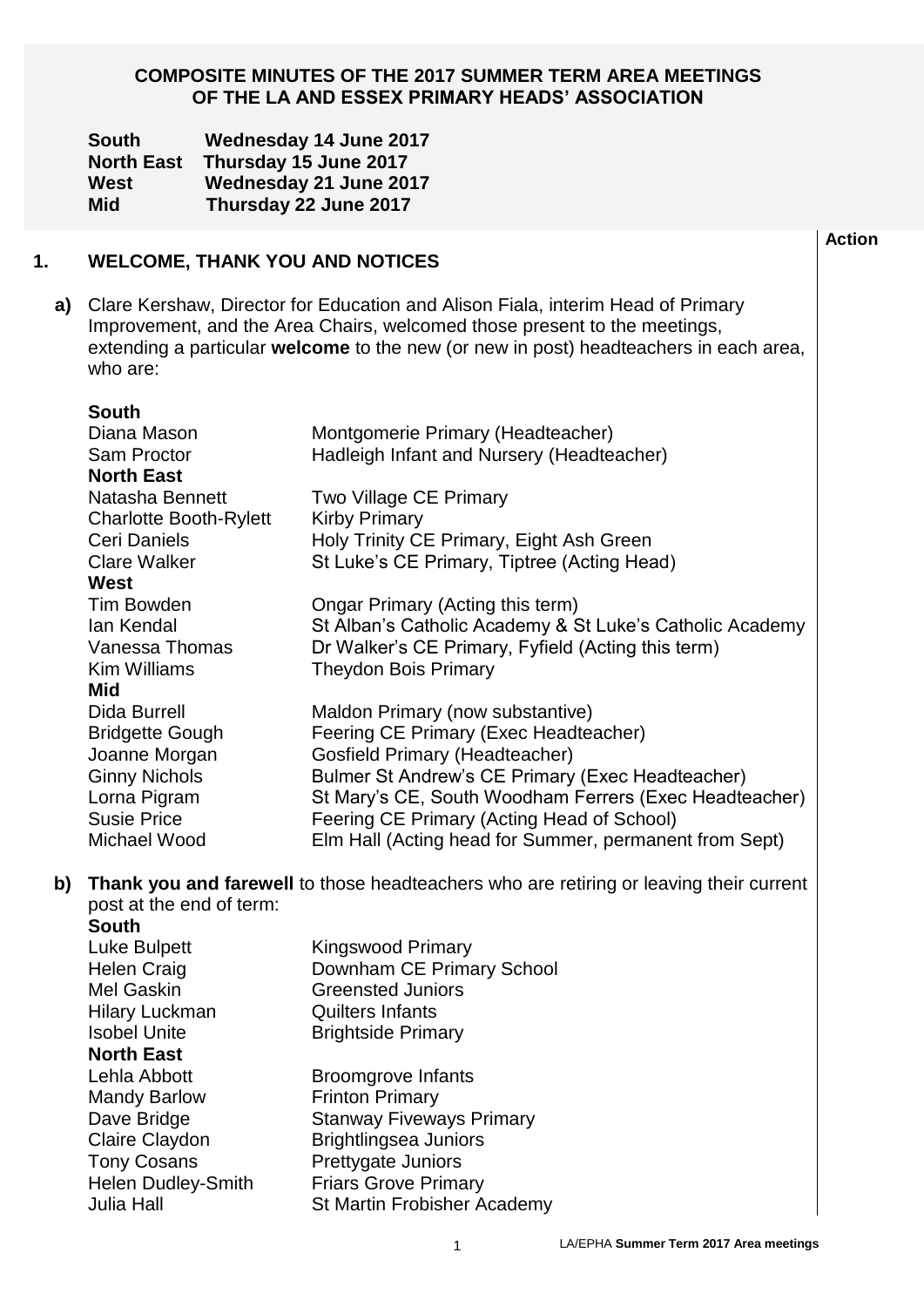### **COMPOSITE MINUTES OF THE 2017 SUMMER TERM AREA MEETINGS OF THE LA AND ESSEX PRIMARY HEADS' ASSOCIATION**

|    | <b>South</b><br><b>North East</b><br>West<br><b>Mid</b>                                                                                                                                                                                                                                                                                                                                 |  | <b>Wednesday 14 June 2017</b><br>Thursday 15 June 2017<br>Wednesday 21 June 2017<br>Thursday 22 June 2017                                                                                                                                                                                                                                                                                                                                                                                                                                                                                                                                                                                                                                                    |               |
|----|-----------------------------------------------------------------------------------------------------------------------------------------------------------------------------------------------------------------------------------------------------------------------------------------------------------------------------------------------------------------------------------------|--|--------------------------------------------------------------------------------------------------------------------------------------------------------------------------------------------------------------------------------------------------------------------------------------------------------------------------------------------------------------------------------------------------------------------------------------------------------------------------------------------------------------------------------------------------------------------------------------------------------------------------------------------------------------------------------------------------------------------------------------------------------------|---------------|
|    |                                                                                                                                                                                                                                                                                                                                                                                         |  | <b>WELCOME, THANK YOU AND NOTICES</b>                                                                                                                                                                                                                                                                                                                                                                                                                                                                                                                                                                                                                                                                                                                        | <b>Action</b> |
| a) | who are:                                                                                                                                                                                                                                                                                                                                                                                |  | Clare Kershaw, Director for Education and Alison Fiala, interim Head of Primary<br>Improvement, and the Area Chairs, welcomed those present to the meetings,<br>extending a particular welcome to the new (or new in post) headteachers in each area,                                                                                                                                                                                                                                                                                                                                                                                                                                                                                                        |               |
|    | <b>South</b><br>Diana Mason<br>Sam Proctor<br><b>North East</b><br>Natasha Bennett<br><b>Charlotte Booth-Rylett</b><br>Ceri Daniels<br><b>Clare Walker</b><br>West<br>Tim Bowden<br>lan Kendal<br>Vanessa Thomas<br><b>Kim Williams</b><br>Mid<br>Dida Burrell<br><b>Bridgette Gough</b><br>Joanne Morgan<br><b>Ginny Nichols</b><br>Lorna Pigram<br><b>Susie Price</b><br>Michael Wood |  | Montgomerie Primary (Headteacher)<br>Hadleigh Infant and Nursery (Headteacher)<br>Two Village CE Primary<br><b>Kirby Primary</b><br>Holy Trinity CE Primary, Eight Ash Green<br>St Luke's CE Primary, Tiptree (Acting Head)<br>Ongar Primary (Acting this term)<br>St Alban's Catholic Academy & St Luke's Catholic Academy<br>Dr Walker's CE Primary, Fyfield (Acting this term)<br><b>Theydon Bois Primary</b><br>Maldon Primary (now substantive)<br>Feering CE Primary (Exec Headteacher)<br><b>Gosfield Primary (Headteacher)</b><br>Bulmer St Andrew's CE Primary (Exec Headteacher)<br>St Mary's CE, South Woodham Ferrers (Exec Headteacher)<br>Feering CE Primary (Acting Head of School)<br>Elm Hall (Acting head for Summer, permanent from Sept) |               |
| b) | post at the end of term:<br><b>South</b><br>Luke Bulpett<br><b>Helen Craig</b><br><b>Mel Gaskin</b><br><b>Hilary Luckman</b><br><b>Isobel Unite</b><br><b>North East</b><br>Lehla Abbott                                                                                                                                                                                                |  | Thank you and farewell to those headteachers who are retiring or leaving their current<br><b>Kingswood Primary</b><br>Downham CE Primary School<br><b>Greensted Juniors</b><br><b>Quilters Infants</b><br><b>Brightside Primary</b><br><b>Broomgrove Infants</b><br><b>Frinton Primary</b>                                                                                                                                                                                                                                                                                                                                                                                                                                                                   |               |
|    | <b>Mandy Barlow</b><br>Dovo Pridao                                                                                                                                                                                                                                                                                                                                                      |  | Stanway Eivewaye Drimary                                                                                                                                                                                                                                                                                                                                                                                                                                                                                                                                                                                                                                                                                                                                     |               |

- Dave Bridge Stanway Fiveways Primary<br>Claire Claydon Brightlingsea Juniors
- Claire Claydon Brightlingsea Juniors<br>
Tony Cosans Prettygate Juniors
	- Prettygate Juniors<br>Friars Grove Primary

**1.**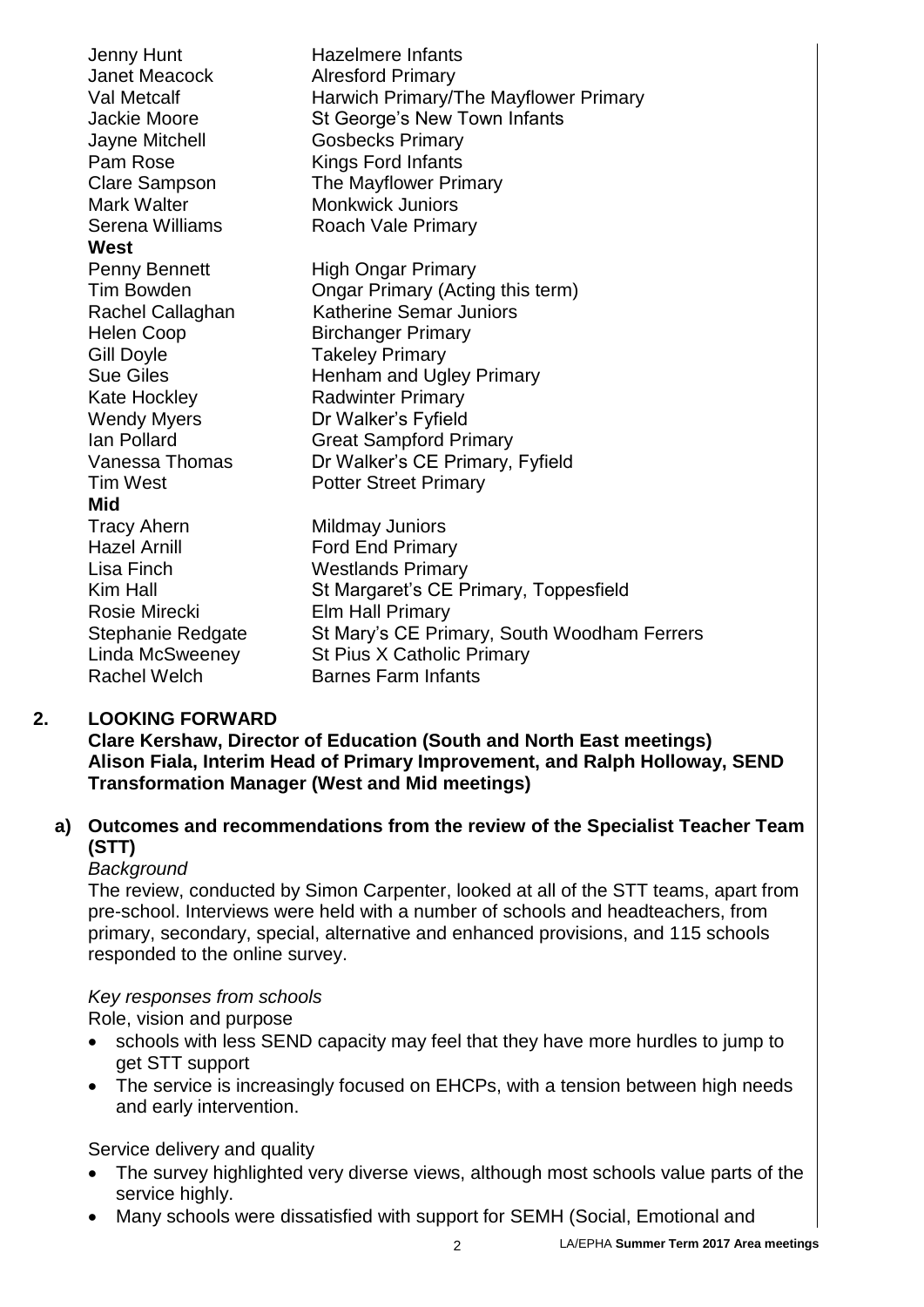| Jenny Hunt           | <b>Hazelmere Infants</b>                    |  |  |
|----------------------|---------------------------------------------|--|--|
| <b>Janet Meacock</b> | <b>Alresford Primary</b>                    |  |  |
| Val Metcalf          | Harwich Primary/The Mayflower Primary       |  |  |
| <b>Jackie Moore</b>  | St George's New Town Infants                |  |  |
| Jayne Mitchell       | <b>Gosbecks Primary</b>                     |  |  |
| Pam Rose             | Kings Ford Infants                          |  |  |
| <b>Clare Sampson</b> | The Mayflower Primary                       |  |  |
| <b>Mark Walter</b>   | <b>Monkwick Juniors</b>                     |  |  |
| Serena Williams      | Roach Vale Primary                          |  |  |
| West                 |                                             |  |  |
| Penny Bennett        | <b>High Ongar Primary</b>                   |  |  |
| <b>Tim Bowden</b>    | Ongar Primary (Acting this term)            |  |  |
| Rachel Callaghan     | <b>Katherine Semar Juniors</b>              |  |  |
| <b>Helen Coop</b>    | <b>Birchanger Primary</b>                   |  |  |
| <b>Gill Doyle</b>    | <b>Takeley Primary</b>                      |  |  |
| <b>Sue Giles</b>     | Henham and Ugley Primary                    |  |  |
| <b>Kate Hockley</b>  | <b>Radwinter Primary</b>                    |  |  |
| <b>Wendy Myers</b>   | Dr Walker's Fyfield                         |  |  |
| Ian Pollard          | <b>Great Sampford Primary</b>               |  |  |
| Vanessa Thomas       | Dr Walker's CE Primary, Fyfield             |  |  |
| <b>Tim West</b>      | <b>Potter Street Primary</b>                |  |  |
| Mid                  |                                             |  |  |
| <b>Tracy Ahern</b>   | <b>Mildmay Juniors</b>                      |  |  |
| <b>Hazel Arnill</b>  | <b>Ford End Primary</b>                     |  |  |
| Lisa Finch           | <b>Westlands Primary</b>                    |  |  |
| Kim Hall             | St Margaret's CE Primary, Toppesfield       |  |  |
| Rosie Mirecki        | <b>Elm Hall Primary</b>                     |  |  |
| Stephanie Redgate    | St Mary's CE Primary, South Woodham Ferrers |  |  |
| Linda McSweeney      | St Pius X Catholic Primary                  |  |  |
| <b>Rachel Welch</b>  | <b>Barnes Farm Infants</b>                  |  |  |

#### **2. LOOKING FORWARD**

**Clare Kershaw, Director of Education (South and North East meetings) Alison Fiala, Interim Head of Primary Improvement, and Ralph Holloway, SEND Transformation Manager (West and Mid meetings)**

## **a) Outcomes and recommendations from the review of the Specialist Teacher Team (STT)**

### *Background*

The review, conducted by Simon Carpenter, looked at all of the STT teams, apart from pre-school. Interviews were held with a number of schools and headteachers, from primary, secondary, special, alternative and enhanced provisions, and 115 schools responded to the online survey.

### *Key responses from schools*

Role, vision and purpose

- schools with less SEND capacity may feel that they have more hurdles to jump to get STT support
- The service is increasingly focused on EHCPs, with a tension between high needs and early intervention.

Service delivery and quality

- The survey highlighted very diverse views, although most schools value parts of the service highly.
- Many schools were dissatisfied with support for SEMH (Social, Emotional and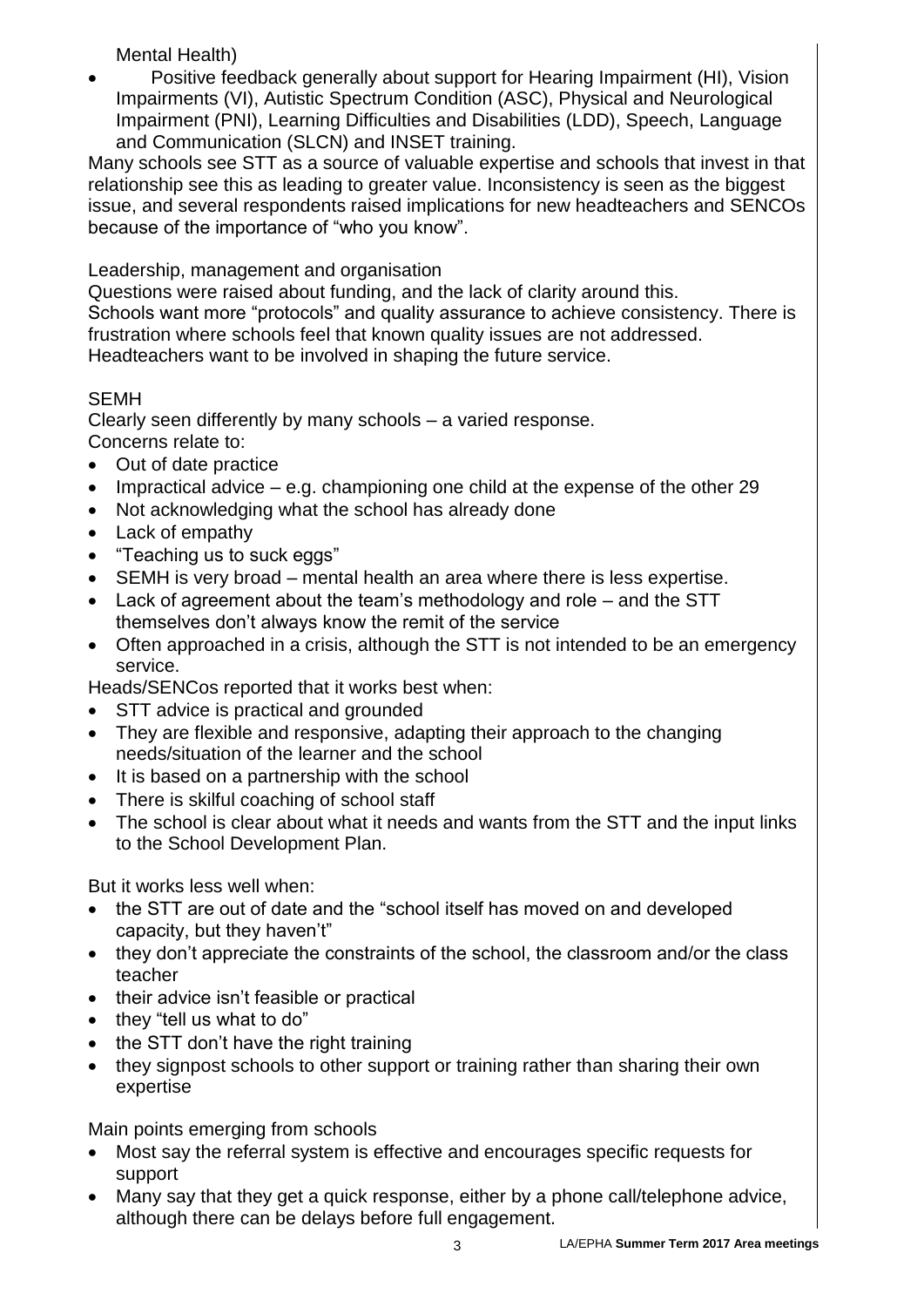Mental Health)

• Positive feedback generally about support for Hearing Impairment (HI), Vision Impairments (VI), Autistic Spectrum Condition (ASC), Physical and Neurological Impairment (PNI), Learning Difficulties and Disabilities (LDD), Speech, Language and Communication (SLCN) and INSET training.

Many schools see STT as a source of valuable expertise and schools that invest in that relationship see this as leading to greater value. Inconsistency is seen as the biggest issue, and several respondents raised implications for new headteachers and SENCOs because of the importance of "who you know".

Leadership, management and organisation

Questions were raised about funding, and the lack of clarity around this. Schools want more "protocols" and quality assurance to achieve consistency. There is frustration where schools feel that known quality issues are not addressed. Headteachers want to be involved in shaping the future service.

# SEMH

Clearly seen differently by many schools – a varied response. Concerns relate to:

- Out of date practice
- Impractical advice  $-$  e.g. championing one child at the expense of the other 29
- Not acknowledging what the school has already done
- Lack of empathy
- "Teaching us to suck eggs"
- SEMH is very broad mental health an area where there is less expertise.
- Lack of agreement about the team's methodology and role and the STT themselves don't always know the remit of the service
- Often approached in a crisis, although the STT is not intended to be an emergency service.

Heads/SENCos reported that it works best when:

- STT advice is practical and grounded
- They are flexible and responsive, adapting their approach to the changing needs/situation of the learner and the school
- It is based on a partnership with the school
- There is skilful coaching of school staff
- The school is clear about what it needs and wants from the STT and the input links to the School Development Plan.

But it works less well when:

- the STT are out of date and the "school itself has moved on and developed capacity, but they haven't"
- they don't appreciate the constraints of the school, the classroom and/or the class teacher
- their advice isn't feasible or practical
- they "tell us what to do"
- $\bullet$  the STT don't have the right training
- they signpost schools to other support or training rather than sharing their own expertise

Main points emerging from schools

- Most say the referral system is effective and encourages specific requests for support
- Many say that they get a quick response, either by a phone call/telephone advice, although there can be delays before full engagement.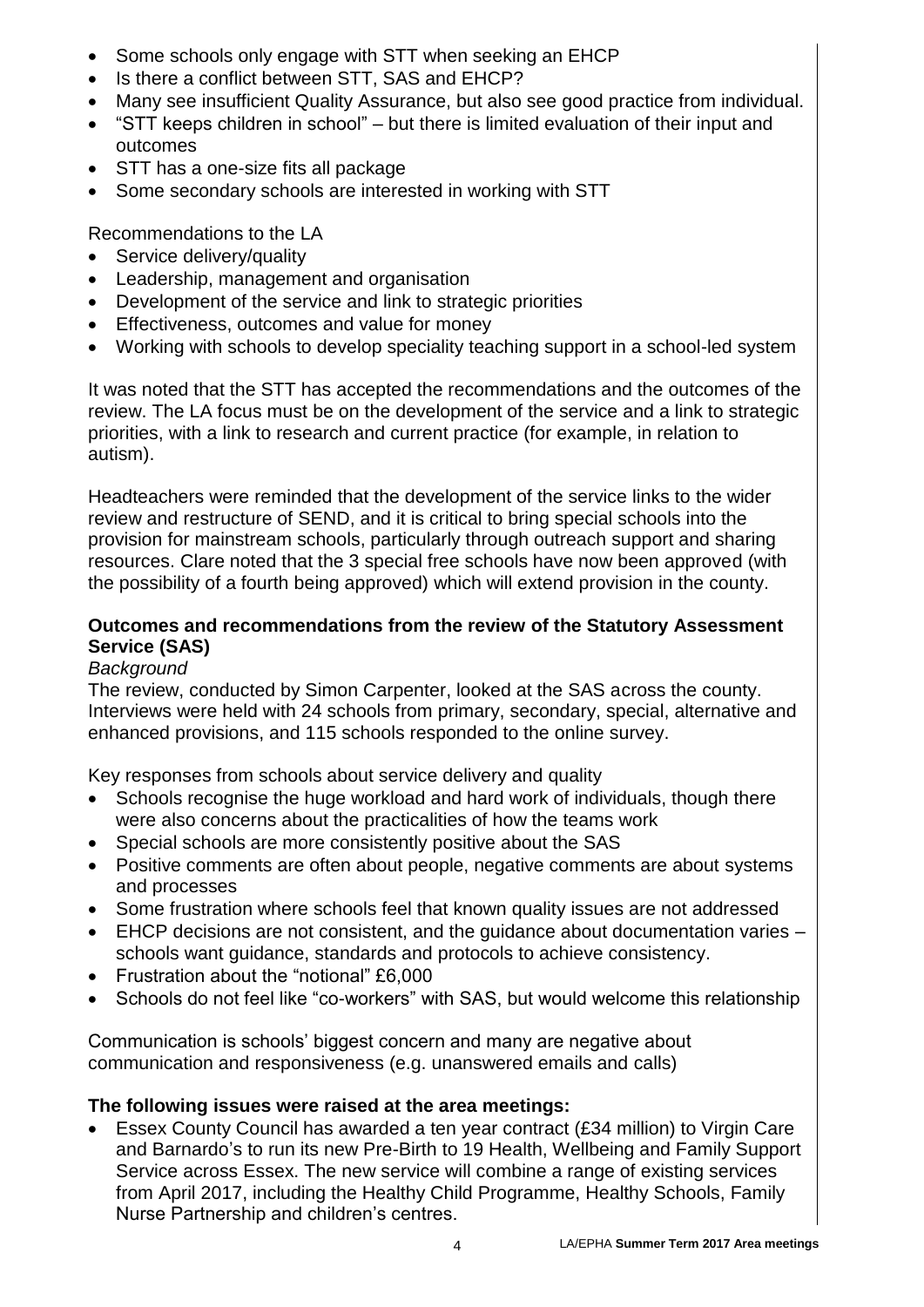- Some schools only engage with STT when seeking an EHCP
- Is there a conflict between STT, SAS and EHCP?
- Many see insufficient Quality Assurance, but also see good practice from individual.
- "STT keeps children in school" but there is limited evaluation of their input and outcomes
- STT has a one-size fits all package
- Some secondary schools are interested in working with STT

Recommendations to the LA

- Service delivery/quality
- Leadership, management and organisation
- Development of the service and link to strategic priorities
- **Effectiveness, outcomes and value for money**
- Working with schools to develop speciality teaching support in a school-led system

It was noted that the STT has accepted the recommendations and the outcomes of the review. The LA focus must be on the development of the service and a link to strategic priorities, with a link to research and current practice (for example, in relation to autism).

Headteachers were reminded that the development of the service links to the wider review and restructure of SEND, and it is critical to bring special schools into the provision for mainstream schools, particularly through outreach support and sharing resources. Clare noted that the 3 special free schools have now been approved (with the possibility of a fourth being approved) which will extend provision in the county.

## **Outcomes and recommendations from the review of the Statutory Assessment Service (SAS)**

# *Background*

The review, conducted by Simon Carpenter, looked at the SAS across the county. Interviews were held with 24 schools from primary, secondary, special, alternative and enhanced provisions, and 115 schools responded to the online survey.

Key responses from schools about service delivery and quality

- Schools recognise the huge workload and hard work of individuals, though there were also concerns about the practicalities of how the teams work
- Special schools are more consistently positive about the SAS
- Positive comments are often about people, negative comments are about systems and processes
- Some frustration where schools feel that known quality issues are not addressed
- EHCP decisions are not consistent, and the guidance about documentation varies schools want guidance, standards and protocols to achieve consistency.
- Frustration about the "notional" £6,000
- Schools do not feel like "co-workers" with SAS, but would welcome this relationship

Communication is schools' biggest concern and many are negative about communication and responsiveness (e.g. unanswered emails and calls)

## **The following issues were raised at the area meetings:**

 Essex County Council has awarded a ten year contract (£34 million) to Virgin Care and Barnardo's to run its new Pre-Birth to 19 Health, Wellbeing and Family Support Service across Essex. The new service will combine a range of existing services from April 2017, including the Healthy Child Programme, Healthy Schools, Family Nurse Partnership and children's centres.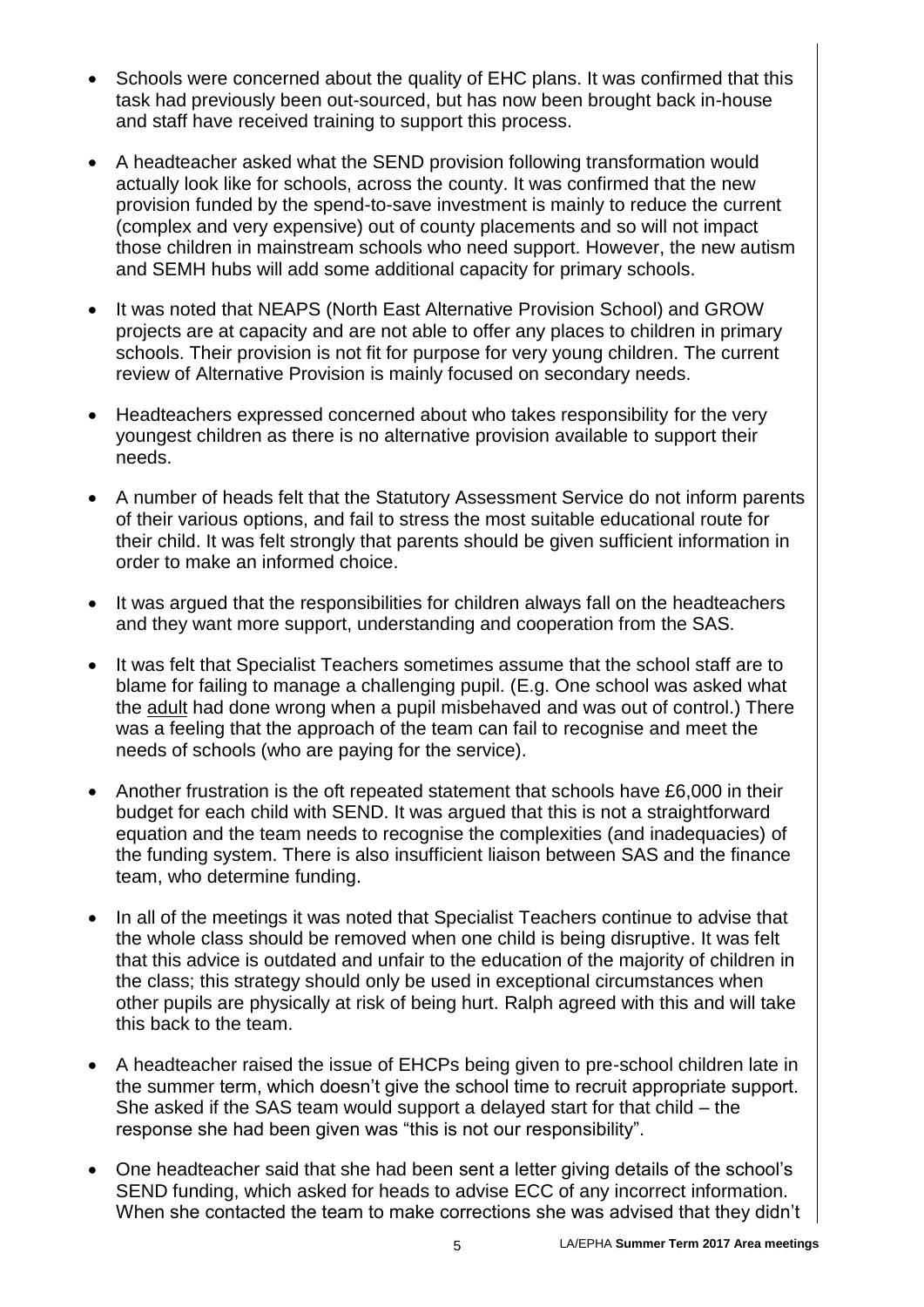- Schools were concerned about the quality of EHC plans. It was confirmed that this task had previously been out-sourced, but has now been brought back in-house and staff have received training to support this process.
- A headteacher asked what the SEND provision following transformation would actually look like for schools, across the county. It was confirmed that the new provision funded by the spend-to-save investment is mainly to reduce the current (complex and very expensive) out of county placements and so will not impact those children in mainstream schools who need support. However, the new autism and SEMH hubs will add some additional capacity for primary schools.
- It was noted that NEAPS (North East Alternative Provision School) and GROW projects are at capacity and are not able to offer any places to children in primary schools. Their provision is not fit for purpose for very young children. The current review of Alternative Provision is mainly focused on secondary needs.
- Headteachers expressed concerned about who takes responsibility for the very youngest children as there is no alternative provision available to support their needs.
- A number of heads felt that the Statutory Assessment Service do not inform parents of their various options, and fail to stress the most suitable educational route for their child. It was felt strongly that parents should be given sufficient information in order to make an informed choice.
- It was argued that the responsibilities for children always fall on the headteachers and they want more support, understanding and cooperation from the SAS.
- It was felt that Specialist Teachers sometimes assume that the school staff are to blame for failing to manage a challenging pupil. (E.g. One school was asked what the adult had done wrong when a pupil misbehaved and was out of control.) There was a feeling that the approach of the team can fail to recognise and meet the needs of schools (who are paying for the service).
- Another frustration is the oft repeated statement that schools have £6,000 in their budget for each child with SEND. It was argued that this is not a straightforward equation and the team needs to recognise the complexities (and inadequacies) of the funding system. There is also insufficient liaison between SAS and the finance team, who determine funding.
- In all of the meetings it was noted that Specialist Teachers continue to advise that the whole class should be removed when one child is being disruptive. It was felt that this advice is outdated and unfair to the education of the majority of children in the class; this strategy should only be used in exceptional circumstances when other pupils are physically at risk of being hurt. Ralph agreed with this and will take this back to the team.
- A headteacher raised the issue of EHCPs being given to pre-school children late in the summer term, which doesn't give the school time to recruit appropriate support. She asked if the SAS team would support a delayed start for that child – the response she had been given was "this is not our responsibility".
- One headteacher said that she had been sent a letter giving details of the school's SEND funding, which asked for heads to advise ECC of any incorrect information. When she contacted the team to make corrections she was advised that they didn't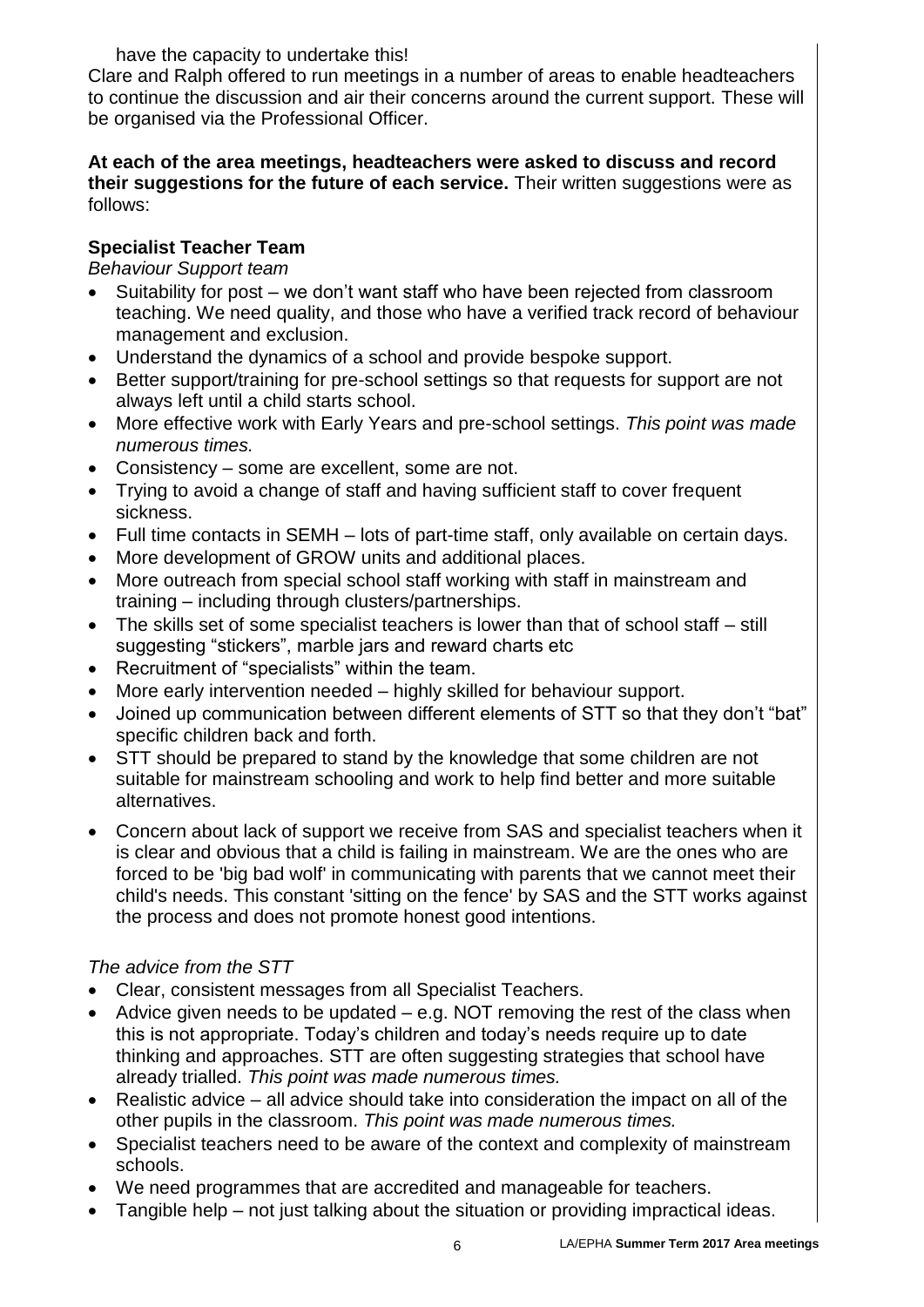have the capacity to undertake this!

Clare and Ralph offered to run meetings in a number of areas to enable headteachers to continue the discussion and air their concerns around the current support. These will be organised via the Professional Officer.

### **At each of the area meetings, headteachers were asked to discuss and record their suggestions for the future of each service.** Their written suggestions were as follows:

## **Specialist Teacher Team**

*Behaviour Support team*

- Suitability for post we don't want staff who have been rejected from classroom teaching. We need quality, and those who have a verified track record of behaviour management and exclusion.
- Understand the dynamics of a school and provide bespoke support.
- Better support/training for pre-school settings so that requests for support are not always left until a child starts school.
- More effective work with Early Years and pre-school settings. *This point was made numerous times.*
- Consistency some are excellent, some are not.
- Trying to avoid a change of staff and having sufficient staff to cover frequent sickness.
- Full time contacts in SEMH lots of part-time staff, only available on certain days.
- More development of GROW units and additional places.
- More outreach from special school staff working with staff in mainstream and training – including through clusters/partnerships.
- The skills set of some specialist teachers is lower than that of school staff still suggesting "stickers", marble jars and reward charts etc
- Recruitment of "specialists" within the team.
- More early intervention needed highly skilled for behaviour support.
- Joined up communication between different elements of STT so that they don't "bat" specific children back and forth.
- STT should be prepared to stand by the knowledge that some children are not suitable for mainstream schooling and work to help find better and more suitable alternatives.
- Concern about lack of support we receive from SAS and specialist teachers when it is clear and obvious that a child is failing in mainstream. We are the ones who are forced to be 'big bad wolf' in communicating with parents that we cannot meet their child's needs. This constant 'sitting on the fence' by SAS and the STT works against the process and does not promote honest good intentions.

## *The advice from the STT*

- Clear, consistent messages from all Specialist Teachers.
- Advice given needs to be updated e.g. NOT removing the rest of the class when this is not appropriate. Today's children and today's needs require up to date thinking and approaches. STT are often suggesting strategies that school have already trialled. *This point was made numerous times.*
- Realistic advice all advice should take into consideration the impact on all of the other pupils in the classroom. *This point was made numerous times.*
- Specialist teachers need to be aware of the context and complexity of mainstream schools.
- We need programmes that are accredited and manageable for teachers.
- Tangible help not just talking about the situation or providing impractical ideas.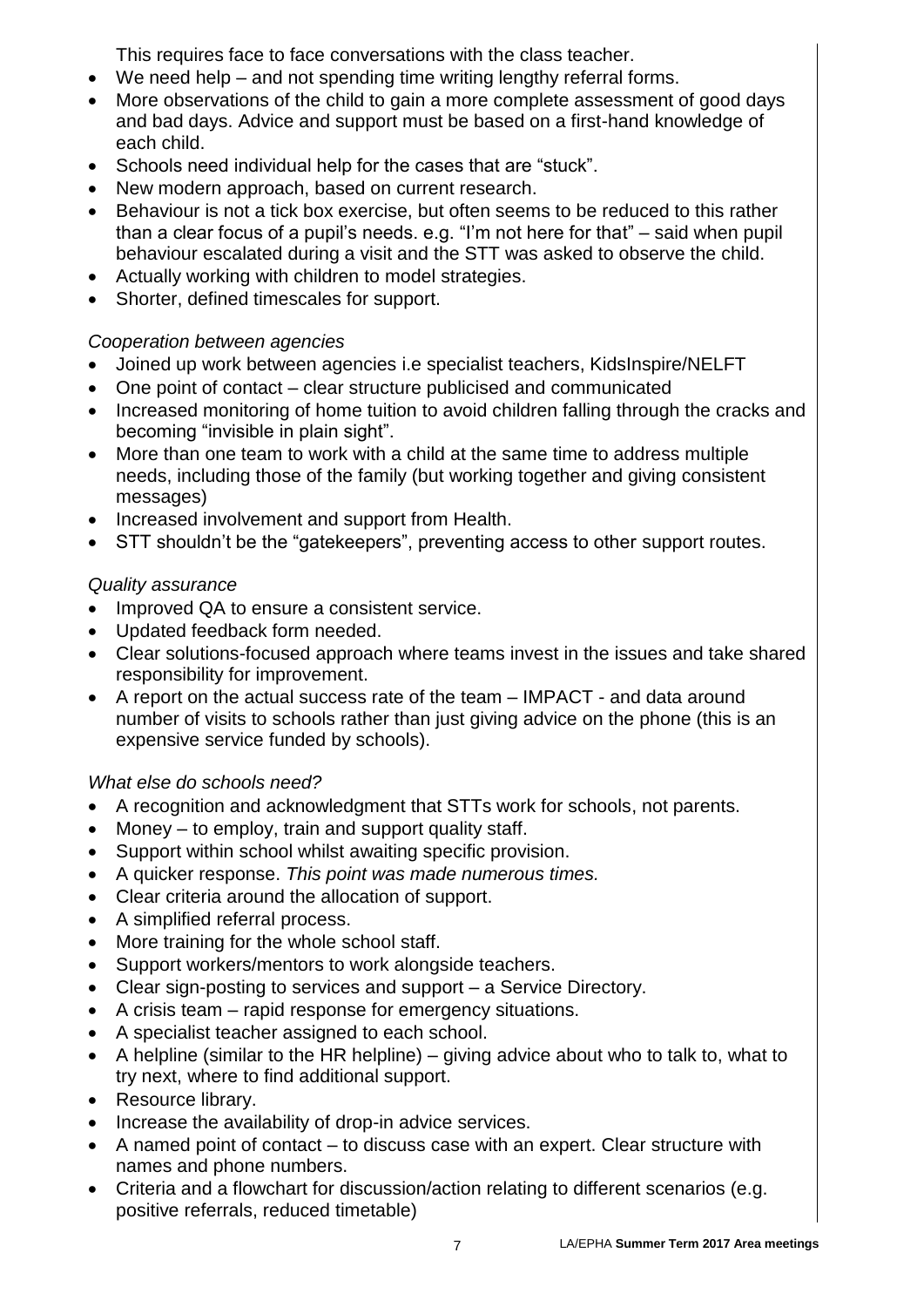This requires face to face conversations with the class teacher.

- We need help and not spending time writing lengthy referral forms.
- More observations of the child to gain a more complete assessment of good days and bad days. Advice and support must be based on a first-hand knowledge of each child.
- Schools need individual help for the cases that are "stuck".
- New modern approach, based on current research.
- Behaviour is not a tick box exercise, but often seems to be reduced to this rather than a clear focus of a pupil's needs. e.g. "I'm not here for that" – said when pupil behaviour escalated during a visit and the STT was asked to observe the child.
- Actually working with children to model strategies.
- Shorter, defined timescales for support.

## *Cooperation between agencies*

- Joined up work between agencies i.e specialist teachers, KidsInspire/NELFT
- One point of contact clear structure publicised and communicated
- Increased monitoring of home tuition to avoid children falling through the cracks and becoming "invisible in plain sight".
- More than one team to work with a child at the same time to address multiple needs, including those of the family (but working together and giving consistent messages)
- Increased involvement and support from Health.
- STT shouldn't be the "gatekeepers", preventing access to other support routes.

## *Quality assurance*

- Improved QA to ensure a consistent service.
- Updated feedback form needed.
- Clear solutions-focused approach where teams invest in the issues and take shared responsibility for improvement.
- A report on the actual success rate of the team IMPACT and data around number of visits to schools rather than just giving advice on the phone (this is an expensive service funded by schools).

# *What else do schools need?*

- A recognition and acknowledgment that STTs work for schools, not parents.
- Money to employ, train and support quality staff.
- Support within school whilst awaiting specific provision.
- A quicker response. *This point was made numerous times.*
- Clear criteria around the allocation of support.
- A simplified referral process.
- More training for the whole school staff.
- Support workers/mentors to work alongside teachers.
- Clear sign-posting to services and support a Service Directory.
- A crisis team rapid response for emergency situations.
- A specialist teacher assigned to each school.
- A helpline (similar to the HR helpline) giving advice about who to talk to, what to try next, where to find additional support.
- Resource library.
- Increase the availability of drop-in advice services.
- A named point of contact to discuss case with an expert. Clear structure with names and phone numbers.
- Criteria and a flowchart for discussion/action relating to different scenarios (e.g. positive referrals, reduced timetable)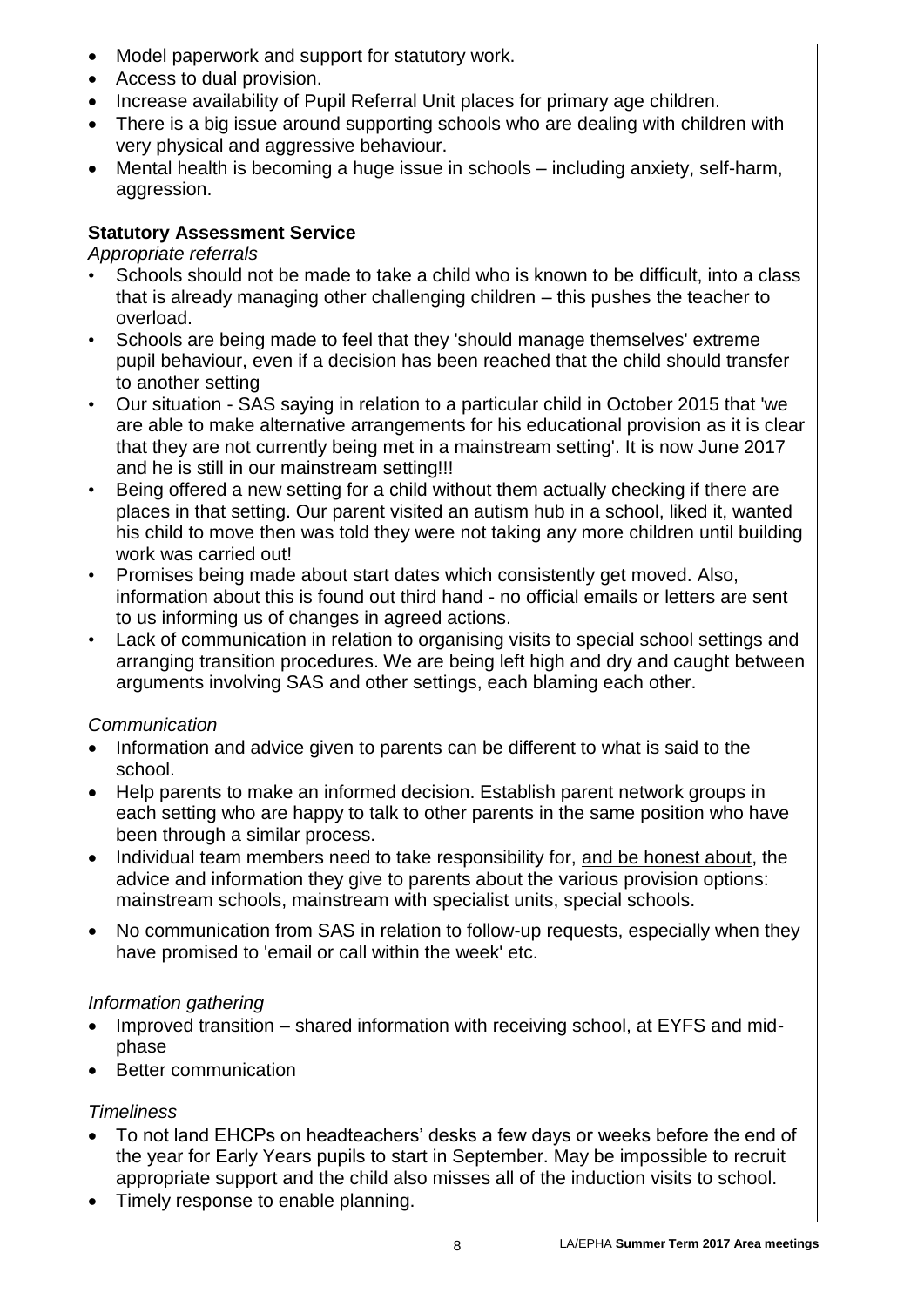- Model paperwork and support for statutory work.
- Access to dual provision.
- Increase availability of Pupil Referral Unit places for primary age children.
- There is a big issue around supporting schools who are dealing with children with very physical and aggressive behaviour.
- Mental health is becoming a huge issue in schools including anxiety, self-harm, aggression.

## **Statutory Assessment Service**

### *Appropriate referrals*

- Schools should not be made to take a child who is known to be difficult, into a class that is already managing other challenging children – this pushes the teacher to overload.
- Schools are being made to feel that they 'should manage themselves' extreme pupil behaviour, even if a decision has been reached that the child should transfer to another setting
- Our situation SAS saying in relation to a particular child in October 2015 that 'we are able to make alternative arrangements for his educational provision as it is clear that they are not currently being met in a mainstream setting'. It is now June 2017 and he is still in our mainstream setting!!!
- Being offered a new setting for a child without them actually checking if there are places in that setting. Our parent visited an autism hub in a school, liked it, wanted his child to move then was told they were not taking any more children until building work was carried out!
- Promises being made about start dates which consistently get moved. Also, information about this is found out third hand - no official emails or letters are sent to us informing us of changes in agreed actions.
- Lack of communication in relation to organising visits to special school settings and arranging transition procedures. We are being left high and dry and caught between arguments involving SAS and other settings, each blaming each other.

## *Communication*

- Information and advice given to parents can be different to what is said to the school.
- Help parents to make an informed decision. Establish parent network groups in each setting who are happy to talk to other parents in the same position who have been through a similar process.
- Individual team members need to take responsibility for, and be honest about, the advice and information they give to parents about the various provision options: mainstream schools, mainstream with specialist units, special schools.
- No communication from SAS in relation to follow-up requests, especially when they have promised to 'email or call within the week' etc.

## *Information gathering*

- Improved transition shared information with receiving school, at EYFS and midphase
- Better communication

## *Timeliness*

- To not land EHCPs on headteachers' desks a few days or weeks before the end of the year for Early Years pupils to start in September. May be impossible to recruit appropriate support and the child also misses all of the induction visits to school.
- Timely response to enable planning.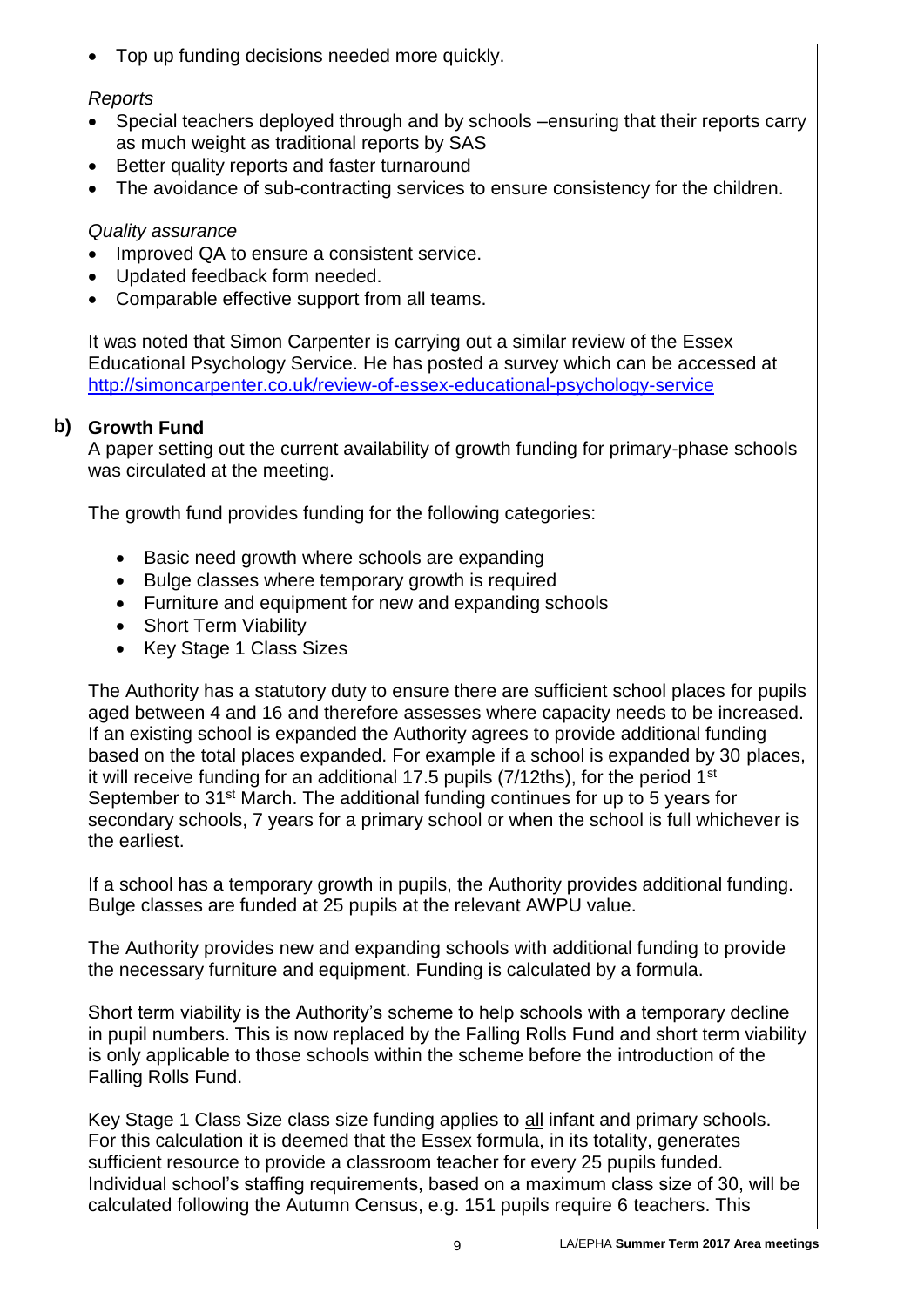Top up funding decisions needed more quickly.

## *Reports*

- Special teachers deployed through and by schools –ensuring that their reports carry as much weight as traditional reports by SAS
- Better quality reports and faster turnaround
- The avoidance of sub-contracting services to ensure consistency for the children.

## *Quality assurance*

- Improved QA to ensure a consistent service.
- Updated feedback form needed.
- Comparable effective support from all teams.

It was noted that Simon Carpenter is carrying out a similar review of the Essex Educational Psychology Service. He has posted a survey which can be accessed at <http://simoncarpenter.co.uk/review-of-essex-educational-psychology-service>

# **b) Growth Fund**

A paper setting out the current availability of growth funding for primary-phase schools was circulated at the meeting.

The growth fund provides funding for the following categories:

- Basic need growth where schools are expanding
- Bulge classes where temporary growth is required
- Furniture and equipment for new and expanding schools
- Short Term Viability
- Key Stage 1 Class Sizes

The Authority has a statutory duty to ensure there are sufficient school places for pupils aged between 4 and 16 and therefore assesses where capacity needs to be increased. If an existing school is expanded the Authority agrees to provide additional funding based on the total places expanded. For example if a school is expanded by 30 places, it will receive funding for an additional 17.5 pupils  $(7/12$ ths), for the period 1<sup>st</sup> September to 31<sup>st</sup> March. The additional funding continues for up to 5 years for secondary schools, 7 years for a primary school or when the school is full whichever is the earliest.

If a school has a temporary growth in pupils, the Authority provides additional funding. Bulge classes are funded at 25 pupils at the relevant AWPU value.

The Authority provides new and expanding schools with additional funding to provide the necessary furniture and equipment. Funding is calculated by a formula.

Short term viability is the Authority's scheme to help schools with a temporary decline in pupil numbers. This is now replaced by the Falling Rolls Fund and short term viability is only applicable to those schools within the scheme before the introduction of the Falling Rolls Fund.

Key Stage 1 Class Size class size funding applies to all infant and primary schools. For this calculation it is deemed that the Essex formula, in its totality, generates sufficient resource to provide a classroom teacher for every 25 pupils funded. Individual school's staffing requirements, based on a maximum class size of 30, will be calculated following the Autumn Census, e.g. 151 pupils require 6 teachers. This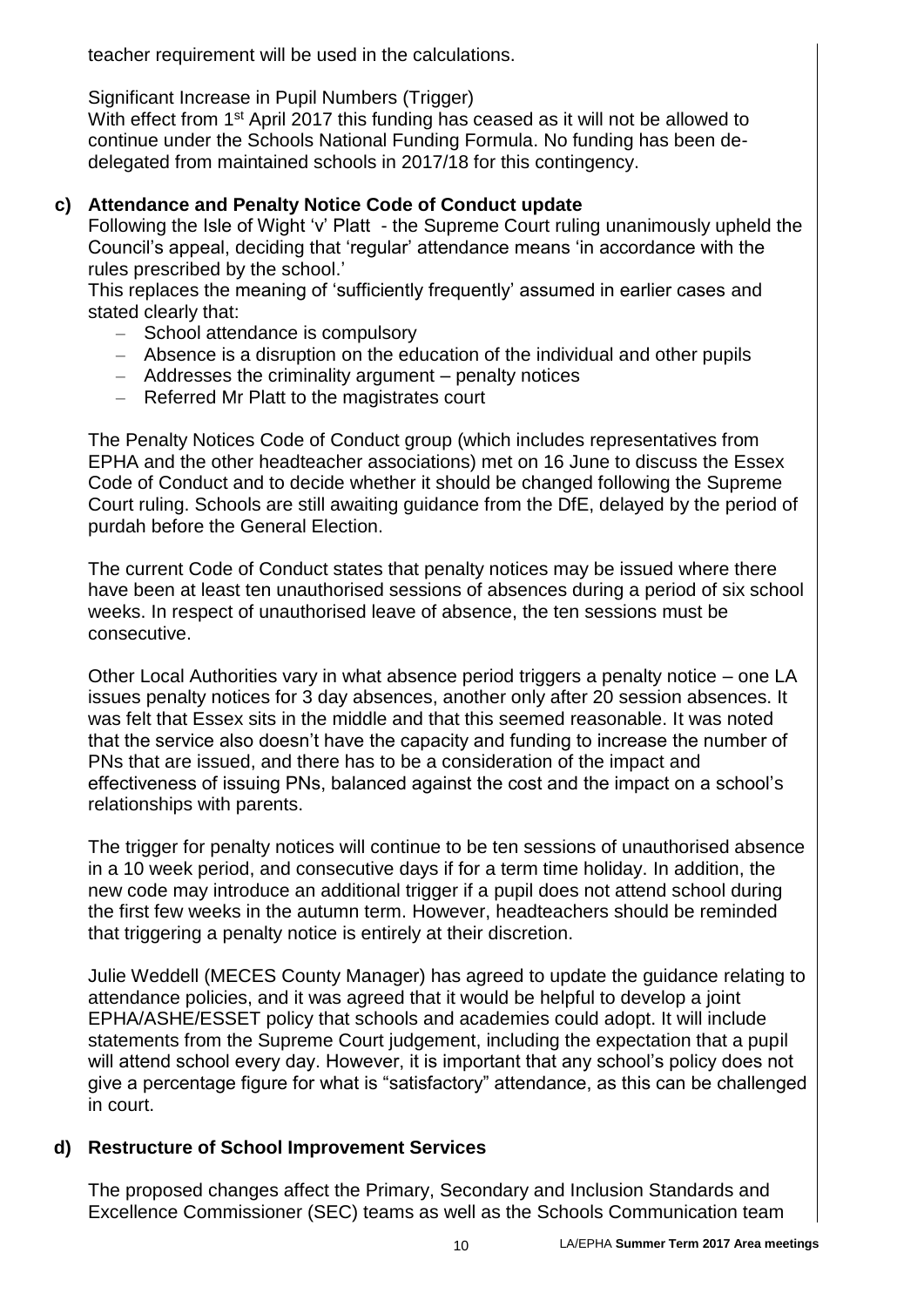teacher requirement will be used in the calculations.

Significant Increase in Pupil Numbers (Trigger)

With effect from 1<sup>st</sup> April 2017 this funding has ceased as it will not be allowed to continue under the Schools National Funding Formula. No funding has been dedelegated from maintained schools in 2017/18 for this contingency.

# **c) Attendance and Penalty Notice Code of Conduct update**

Following the Isle of Wight 'v' Platt - the Supreme Court ruling unanimously upheld the Council's appeal, deciding that 'regular' attendance means 'in accordance with the rules prescribed by the school.'

This replaces the meaning of 'sufficiently frequently' assumed in earlier cases and stated clearly that:

- School attendance is compulsory
- Absence is a disruption on the education of the individual and other pupils
- Addresses the criminality argument penalty notices
- Referred Mr Platt to the magistrates court

The Penalty Notices Code of Conduct group (which includes representatives from EPHA and the other headteacher associations) met on 16 June to discuss the Essex Code of Conduct and to decide whether it should be changed following the Supreme Court ruling. Schools are still awaiting guidance from the DfE, delayed by the period of purdah before the General Election.

The current Code of Conduct states that penalty notices may be issued where there have been at least ten unauthorised sessions of absences during a period of six school weeks. In respect of unauthorised leave of absence, the ten sessions must be consecutive.

Other Local Authorities vary in what absence period triggers a penalty notice – one LA issues penalty notices for 3 day absences, another only after 20 session absences. It was felt that Essex sits in the middle and that this seemed reasonable. It was noted that the service also doesn't have the capacity and funding to increase the number of PNs that are issued, and there has to be a consideration of the impact and effectiveness of issuing PNs, balanced against the cost and the impact on a school's relationships with parents.

The trigger for penalty notices will continue to be ten sessions of unauthorised absence in a 10 week period, and consecutive days if for a term time holiday. In addition, the new code may introduce an additional trigger if a pupil does not attend school during the first few weeks in the autumn term. However, headteachers should be reminded that triggering a penalty notice is entirely at their discretion.

Julie Weddell (MECES County Manager) has agreed to update the guidance relating to attendance policies, and it was agreed that it would be helpful to develop a joint EPHA/ASHE/ESSET policy that schools and academies could adopt. It will include statements from the Supreme Court judgement, including the expectation that a pupil will attend school every day. However, it is important that any school's policy does not give a percentage figure for what is "satisfactory" attendance, as this can be challenged in court.

# **d) Restructure of School Improvement Services**

The proposed changes affect the Primary, Secondary and Inclusion Standards and Excellence Commissioner (SEC) teams as well as the Schools Communication team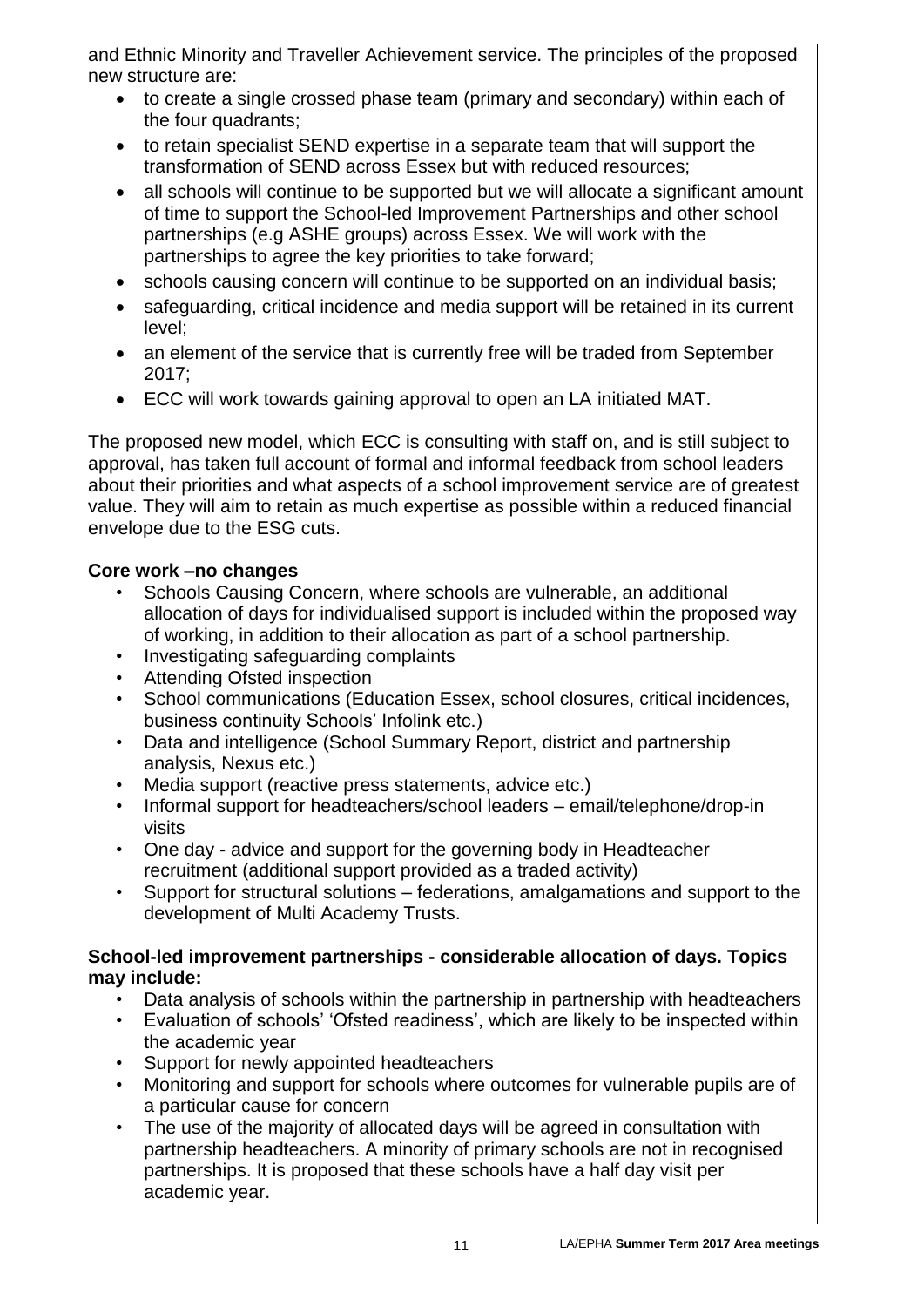and Ethnic Minority and Traveller Achievement service. The principles of the proposed new structure are:

- to create a single crossed phase team (primary and secondary) within each of the four quadrants;
- to retain specialist SEND expertise in a separate team that will support the transformation of SEND across Essex but with reduced resources;
- all schools will continue to be supported but we will allocate a significant amount of time to support the School-led Improvement Partnerships and other school partnerships (e.g ASHE groups) across Essex. We will work with the partnerships to agree the key priorities to take forward;
- schools causing concern will continue to be supported on an individual basis;
- safeguarding, critical incidence and media support will be retained in its current level;
- an element of the service that is currently free will be traded from September 2017;
- ECC will work towards gaining approval to open an LA initiated MAT.

The proposed new model, which ECC is consulting with staff on, and is still subject to approval, has taken full account of formal and informal feedback from school leaders about their priorities and what aspects of a school improvement service are of greatest value. They will aim to retain as much expertise as possible within a reduced financial envelope due to the ESG cuts.

## **Core work –no changes**

- Schools Causing Concern, where schools are vulnerable, an additional allocation of days for individualised support is included within the proposed way of working, in addition to their allocation as part of a school partnership.
- Investigating safeguarding complaints
- Attending Ofsted inspection
- School communications (Education Essex, school closures, critical incidences, business continuity Schools' Infolink etc.)
- Data and intelligence (School Summary Report, district and partnership analysis, Nexus etc.)
- Media support (reactive press statements, advice etc.)
- Informal support for headteachers/school leaders email/telephone/drop-in visits
- One day advice and support for the governing body in Headteacher recruitment (additional support provided as a traded activity)
- Support for structural solutions federations, amalgamations and support to the development of Multi Academy Trusts.

### **School-led improvement partnerships - considerable allocation of days. Topics may include:**

- Data analysis of schools within the partnership in partnership with headteachers
- Evaluation of schools' 'Ofsted readiness', which are likely to be inspected within the academic year
- Support for newly appointed headteachers
- Monitoring and support for schools where outcomes for vulnerable pupils are of a particular cause for concern
- The use of the majority of allocated days will be agreed in consultation with partnership headteachers. A minority of primary schools are not in recognised partnerships. It is proposed that these schools have a half day visit per academic year.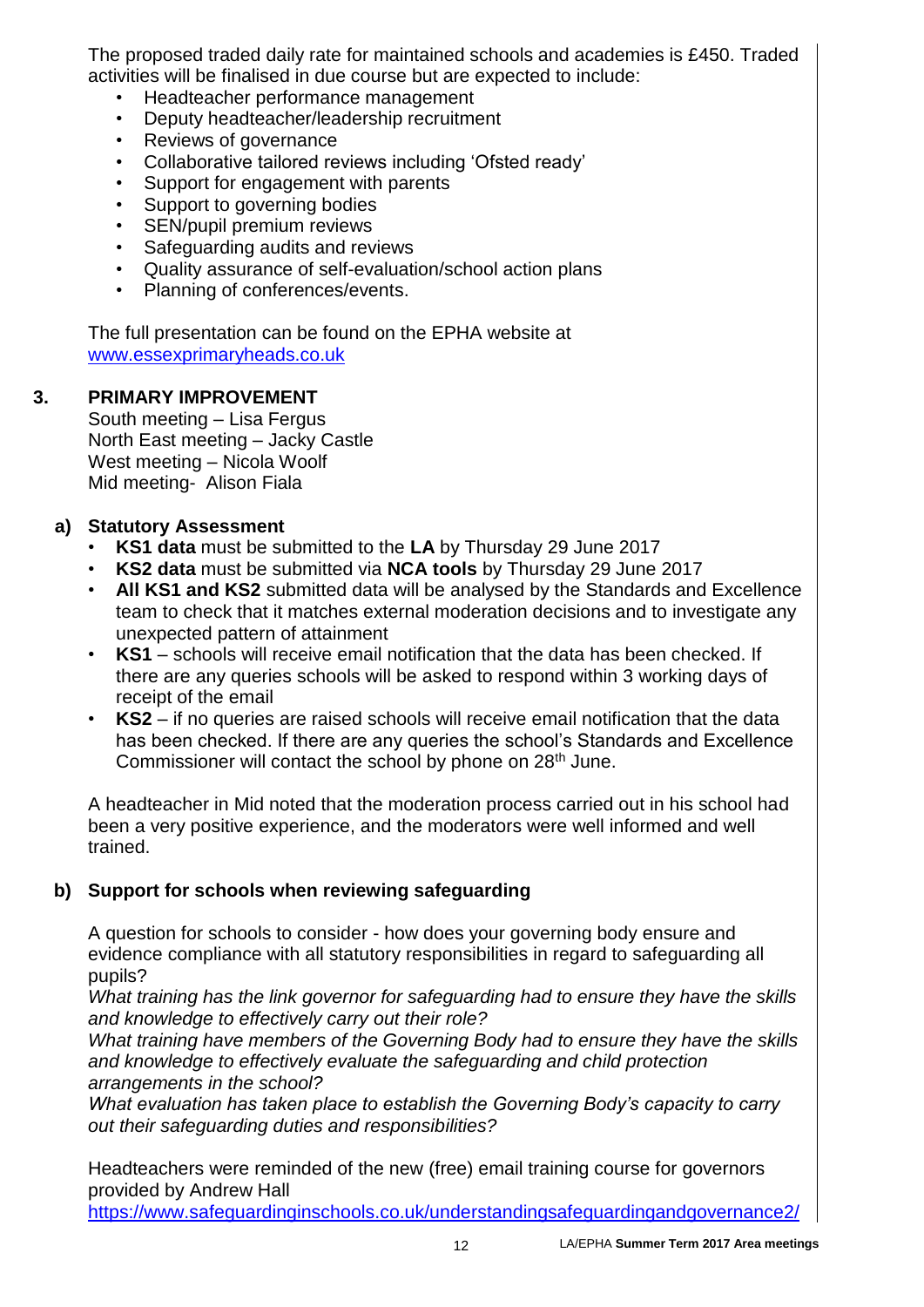The proposed traded daily rate for maintained schools and academies is £450. Traded activities will be finalised in due course but are expected to include:

- Headteacher performance management
- Deputy headteacher/leadership recruitment
- Reviews of governance
- Collaborative tailored reviews including 'Ofsted ready'
- Support for engagement with parents
- Support to governing bodies
- SEN/pupil premium reviews
- Safeguarding audits and reviews
- Quality assurance of self-evaluation/school action plans
- Planning of conferences/events.

**a** [www.essexprimaryheads.co.uk](http://www.essexprimaryheads.co.uk/) The full presentation can be found on the EPHA website at

#### **3. PRIMARY IMPROVEMENT**

South meeting – Lisa Fergus North East meeting – Jacky Castle West meeting – Nicola Woolf Mid meeting- Alison Fiala

### **a) Statutory Assessment**

- **KS1 data** must be submitted to the **LA** by Thursday 29 June 2017
- **KS2 data** must be submitted via **NCA tools** by Thursday 29 June 2017
- **All KS1 and KS2** submitted data will be analysed by the Standards and Excellence team to check that it matches external moderation decisions and to investigate any unexpected pattern of attainment
- **KS1**  schools will receive email notification that the data has been checked. If there are any queries schools will be asked to respond within 3 working days of receipt of the email
- **KS2** if no queries are raised schools will receive email notification that the data has been checked. If there are any queries the school's Standards and Excellence Commissioner will contact the school by phone on 28<sup>th</sup> June.

A headteacher in Mid noted that the moderation process carried out in his school had been a very positive experience, and the moderators were well informed and well trained.

## **b) Support for schools when reviewing safeguarding**

A question for schools to consider - how does your governing body ensure and evidence compliance with all statutory responsibilities in regard to safeguarding all pupils?

*What training has the link governor for safeguarding had to ensure they have the skills and knowledge to effectively carry out their role?*

*What training have members of the Governing Body had to ensure they have the skills and knowledge to effectively evaluate the safeguarding and child protection arrangements in the school?* 

*What evaluation has taken place to establish the Governing Body's capacity to carry out their safeguarding duties and responsibilities?*

Headteachers were reminded of the new (free) email training course for governors provided by Andrew Hall

<https://www.safeguardinginschools.co.uk/understandingsafeguardingandgovernance2/>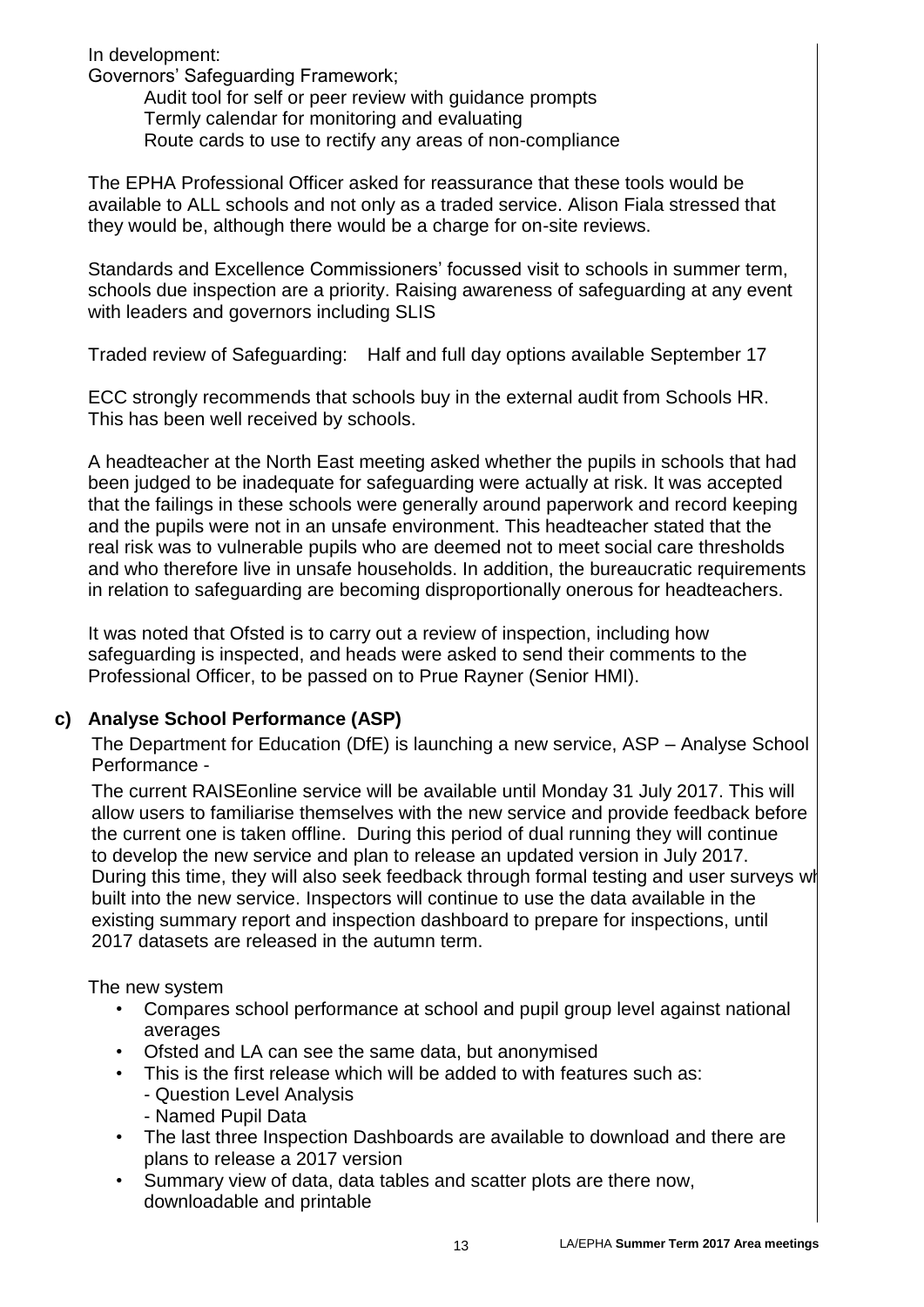In development:

Governors' Safeguarding Framework;

Audit tool for self or peer review with guidance prompts Termly calendar for monitoring and evaluating Route cards to use to rectify any areas of non-compliance

The EPHA Professional Officer asked for reassurance that these tools would be available to ALL schools and not only as a traded service. Alison Fiala stressed that they would be, although there would be a charge for on-site reviews.

Standards and Excellence Commissioners' focussed visit to schools in summer term, schools due inspection are a priority. Raising awareness of safeguarding at any event with leaders and governors including SLIS

Traded review of Safeguarding: Half and full day options available September 17

ECC strongly recommends that schools buy in the external audit from Schools HR. This has been well received by schools.

A headteacher at the North East meeting asked whether the pupils in schools that had been judged to be inadequate for safeguarding were actually at risk. It was accepted that the failings in these schools were generally around paperwork and record keeping and the pupils were not in an unsafe environment. This headteacher stated that the real risk was to vulnerable pupils who are deemed not to meet social care thresholds and who therefore live in unsafe households. In addition, the bureaucratic requirements in relation to safeguarding are becoming disproportionally onerous for headteachers.

It was noted that Ofsted is to carry out a review of inspection, including how safeguarding is inspected, and heads were asked to send their comments to the Professional Officer, to be passed on to Prue Rayner (Senior HMI).

# **c) Analyse School Performance (ASP)**

The Department for Education (DfE) is launching a new service, ASP – Analyse School Performance -

The current RAISEonline service will be available until Monday 31 July 2017. This will allow users to familiarise themselves with the new service and provide feedback before the current one is taken offline. During this period of dual running they will continue to develop the new service and plan to release an updated version in July 2017. During this time, they will also seek feedback through formal testing and user surveys wh built into the new service. Inspectors will continue to use the data available in the existing summary report and inspection dashboard to prepare for inspections, until 2017 datasets are released in the autumn term.

The new system

- Compares school performance at school and pupil group level against national averages
- Ofsted and LA can see the same data, but anonymised
- This is the first release which will be added to with features such as:
	- Question Level Analysis
	- Named Pupil Data
- The last three Inspection Dashboards are available to download and there are plans to release a 2017 version
- Summary view of data, data tables and scatter plots are there now, downloadable and printable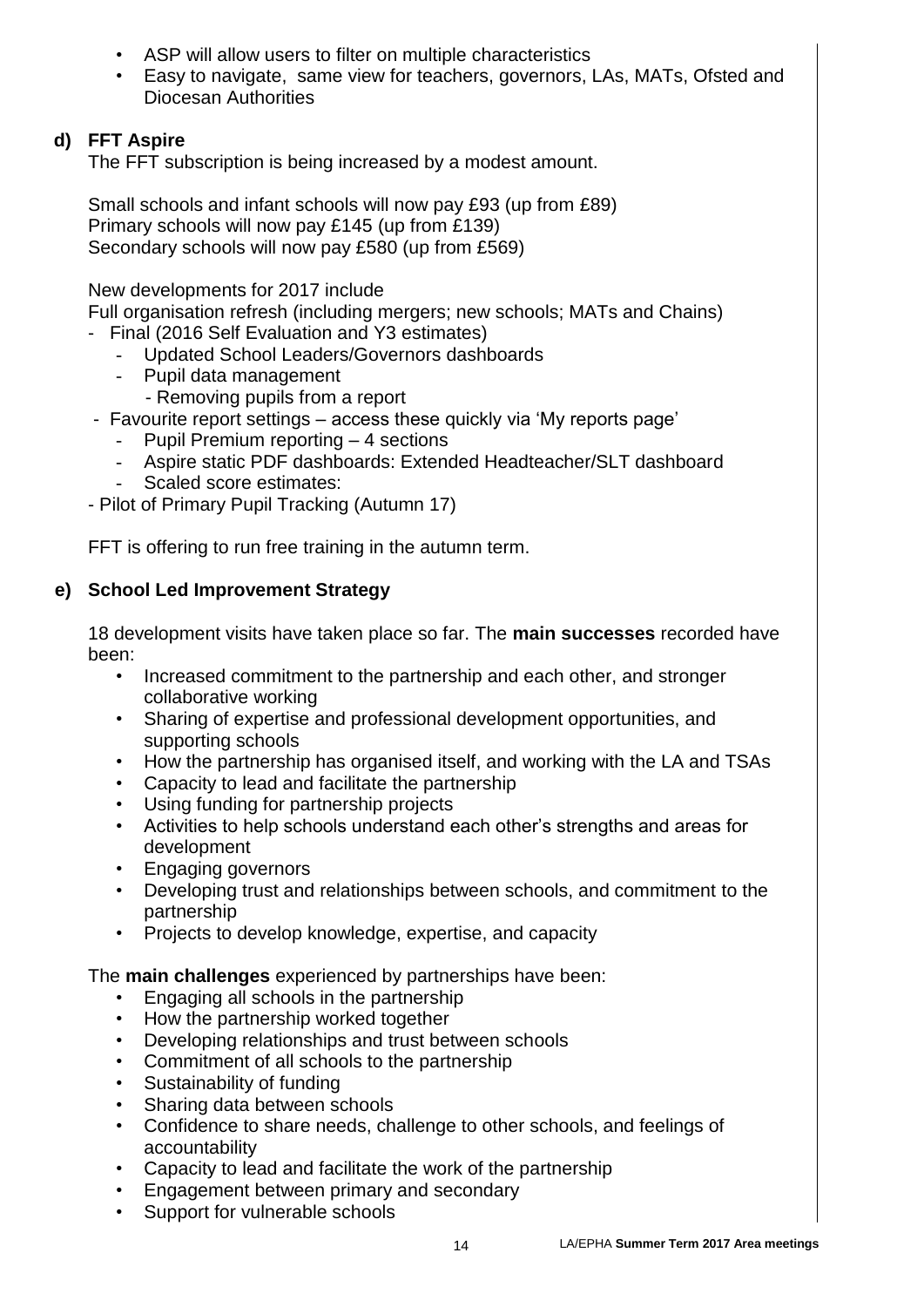- ASP will allow users to filter on multiple characteristics
- Easy to navigate, same view for teachers, governors, LAs, MATs, Ofsted and Diocesan Authorities

# **d) FFT Aspire**

The FFT subscription is being increased by a modest amount.

Small schools and infant schools will now pay £93 (up from £89) Primary schools will now pay £145 (up from £139) Secondary schools will now pay £580 (up from £569)

## New developments for 2017 include

Full organisation refresh (including mergers; new schools; MATs and Chains)

- Final (2016 Self Evaluation and Y3 estimates)
	- Updated School Leaders/Governors dashboards
	- Pupil data management
		- Removing pupils from a report
- Favourite report settings access these quickly via 'My reports page'
	- Pupil Premium reporting 4 sections
	- Aspire static PDF dashboards: Extended Headteacher/SLT dashboard
	- Scaled score estimates:

- Pilot of Primary Pupil Tracking (Autumn 17)

FFT is offering to run free training in the autumn term.

## **e) School Led Improvement Strategy**

18 development visits have taken place so far. The **main successes** recorded have been:

- Increased commitment to the partnership and each other, and stronger collaborative working
- Sharing of expertise and professional development opportunities, and supporting schools
- How the partnership has organised itself, and working with the LA and TSAs
- Capacity to lead and facilitate the partnership
- Using funding for partnership projects
- Activities to help schools understand each other's strengths and areas for development
- Engaging governors
- Developing trust and relationships between schools, and commitment to the partnership
- Projects to develop knowledge, expertise, and capacity

The **main challenges** experienced by partnerships have been:

- Engaging all schools in the partnership
- How the partnership worked together
- Developing relationships and trust between schools
- Commitment of all schools to the partnership
- Sustainability of funding
- Sharing data between schools
- Confidence to share needs, challenge to other schools, and feelings of accountability
- Capacity to lead and facilitate the work of the partnership
- Engagement between primary and secondary
- Support for vulnerable schools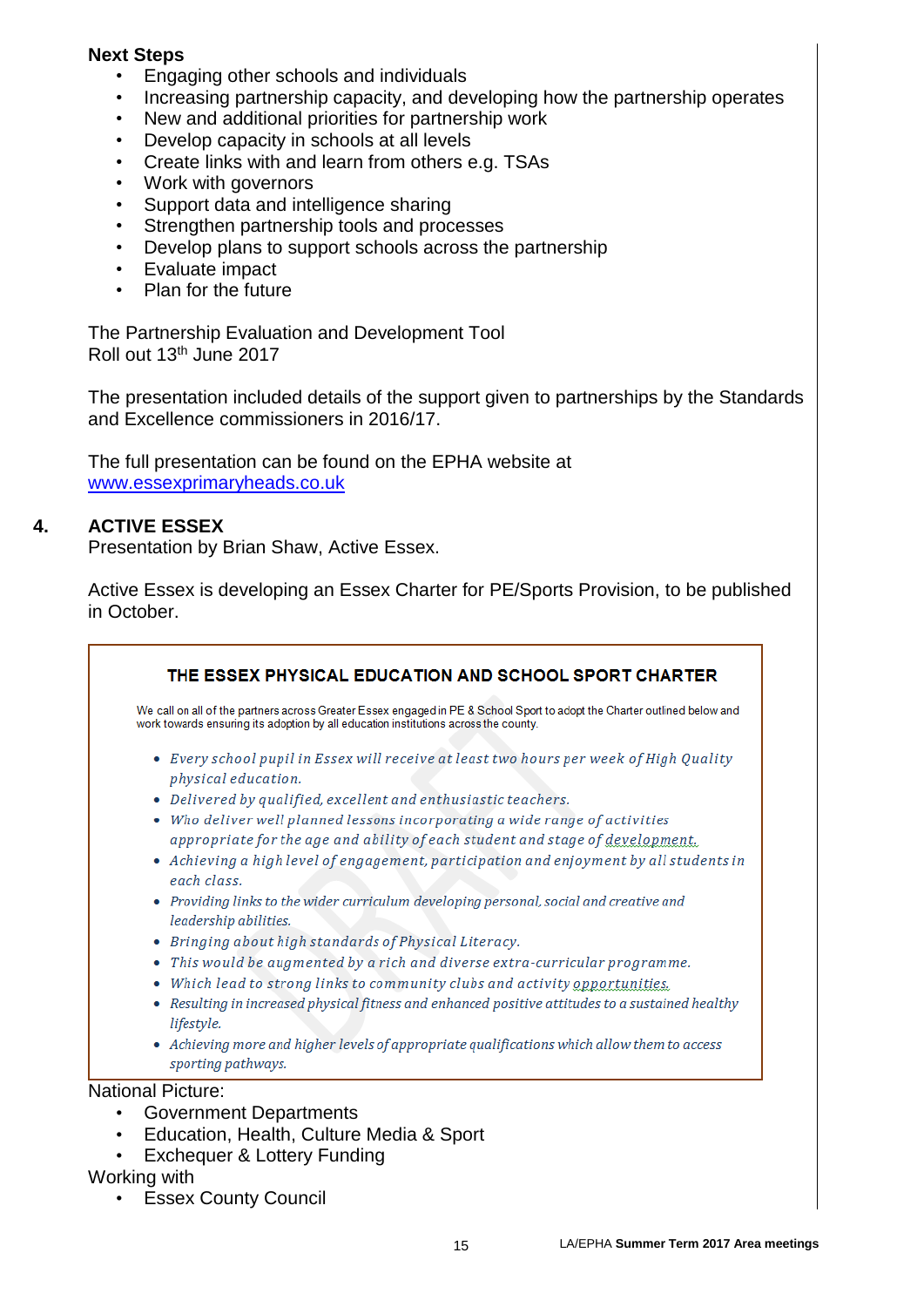### **Next Steps**

- Engaging other schools and individuals
- Increasing partnership capacity, and developing how the partnership operates
- New and additional priorities for partnership work
- Develop capacity in schools at all levels
- Create links with and learn from others e.g. TSAs
- Work with governors
- Support data and intelligence sharing
- Strengthen partnership tools and processes
- Develop plans to support schools across the partnership
- Evaluate impact
- Plan for the future

The Partnership Evaluation and Development Tool Roll out 13th June 2017

The presentation included details of the support given to partnerships by the Standards and Excellence commissioners in 2016/17.

The full presentation can be found on the EPHA website at [www.essexprimaryheads.co.uk](http://www.essexprimaryheads.co.uk/)

### **4. ACTIVE ESSEX**

Presentation by Brian Shaw, Active Essex.

Active Essex is developing an Essex Charter for PE/Sports Provision, to be published in October.

| We call on all of the partners across Greater Essex engaged in PE & School Sport to adopt the Charter outlined below and<br>work towards ensuring its adoption by all education institutions across the county. |
|-----------------------------------------------------------------------------------------------------------------------------------------------------------------------------------------------------------------|
| • Every school pupil in Essex will receive at least two hours per week of High Quality<br>physical education.                                                                                                   |
| • Delivered by qualified, excellent and enthusiastic teachers.                                                                                                                                                  |
| • Who deliver well planned lessons incorporating a wide range of activities                                                                                                                                     |
| appropriate for the age and ability of each student and stage of development.                                                                                                                                   |
| • Achieving a high level of engagement, participation and enjoyment by all students in<br>each class.                                                                                                           |
| • Providing links to the wider curriculum developing personal, social and creative and<br>leadership abilities.                                                                                                 |
| • Bringing about high standards of Physical Literacy.                                                                                                                                                           |
| • This would be augmented by a rich and diverse extra-curricular programme.                                                                                                                                     |
| • Which lead to strong links to community clubs and activity opportunities.                                                                                                                                     |
| Resulting in increased physical fitness and enhanced positive attitudes to a sustained healthy<br>lifestyle.                                                                                                    |
| • Achieving more and higher levels of appropriate qualifications which allow them to access<br>sporting pathways.                                                                                               |

• Exchequer & Lottery Funding

### Working with

• Essex County Council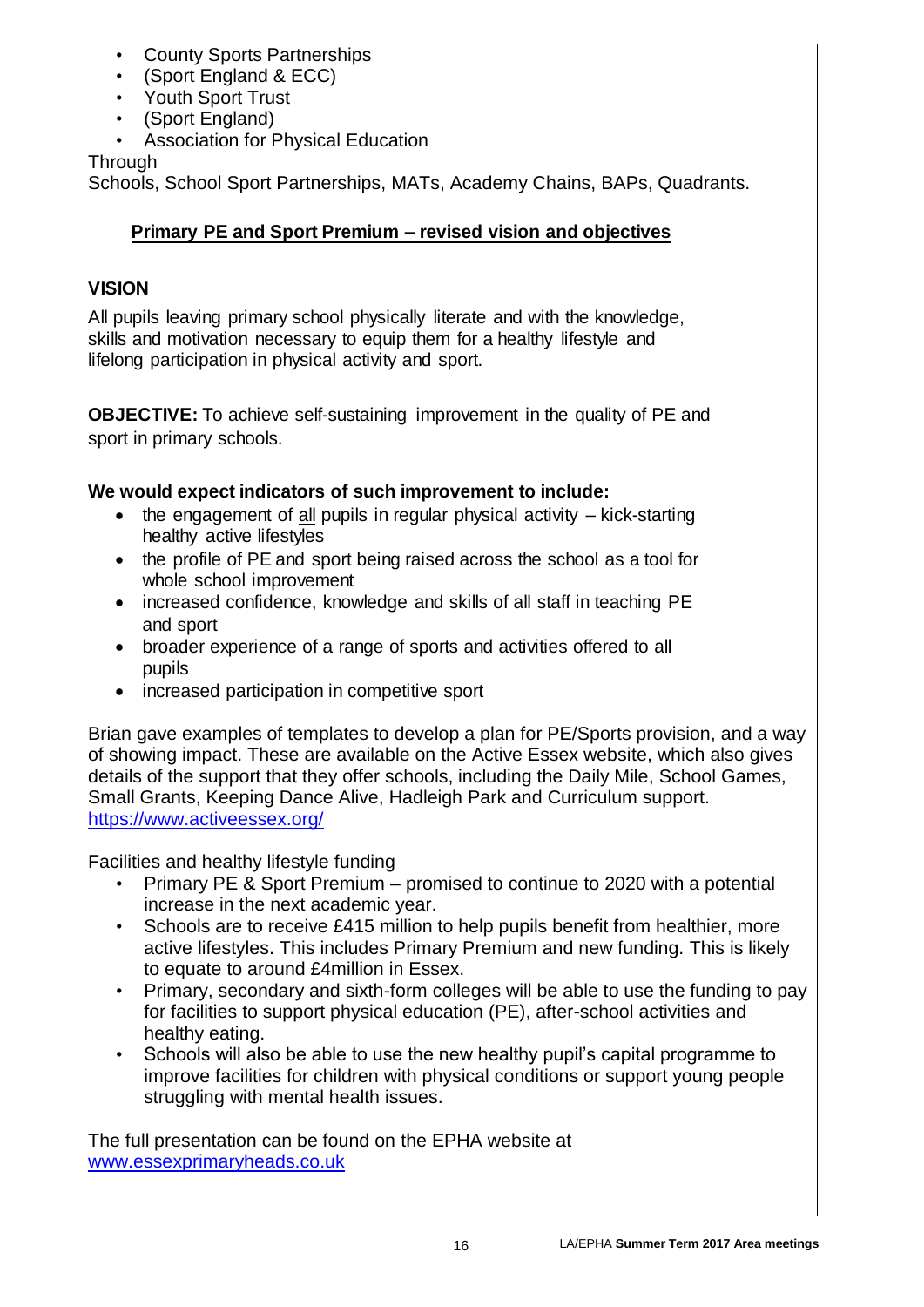- County Sports Partnerships
- (Sport England & ECC)
- Youth Sport Trust
- (Sport England)
- Association for Physical Education

Through

Schools, School Sport Partnerships, MATs, Academy Chains, BAPs, Quadrants.

# **Primary PE and Sport Premium – revised vision and objectives**

# **VISION**

All pupils leaving primary school physically literate and with the knowledge, skills and motivation necessary to equip them for a healthy lifestyle and lifelong participation in physical activity and sport.

**OBJECTIVE:** To achieve self-sustaining improvement in the quality of PE and sport in primary schools.

# **We would expect indicators of such improvement to include:**

- $\bullet$  the engagement of all pupils in regular physical activity  $-$  kick-starting healthy active lifestyles
- the profile of PE and sport being raised across the school as a tool for whole school improvement
- increased confidence, knowledge and skills of all staff in teaching PE and sport
- broader experience of a range of sports and activities offered to all pupils
- increased participation in competitive sport

Brian gave examples of templates to develop a plan for PE/Sports provision, and a way of showing impact. These are available on the Active Essex website, which also gives details of the support that they offer schools, including the Daily Mile, School Games, Small Grants, Keeping Dance Alive, Hadleigh Park and Curriculum support. <https://www.activeessex.org/>

Facilities and healthy lifestyle funding

- Primary PE & Sport Premium promised to continue to 2020 with a potential increase in the next academic year.
- Schools are to receive £415 million to help pupils benefit from healthier, more active lifestyles. This includes Primary Premium and new funding. This is likely to equate to around £4million in Essex.
- Primary, secondary and sixth-form colleges will be able to use the funding to pay for facilities to support physical education (PE), after-school activities and healthy eating.
- Schools will also be able to use the new healthy pupil's capital programme to improve facilities for children with physical conditions or support young people struggling with mental health issues.

The full presentation can be found on the EPHA website at [www.essexprimaryheads.co.uk](http://www.essexprimaryheads.co.uk/)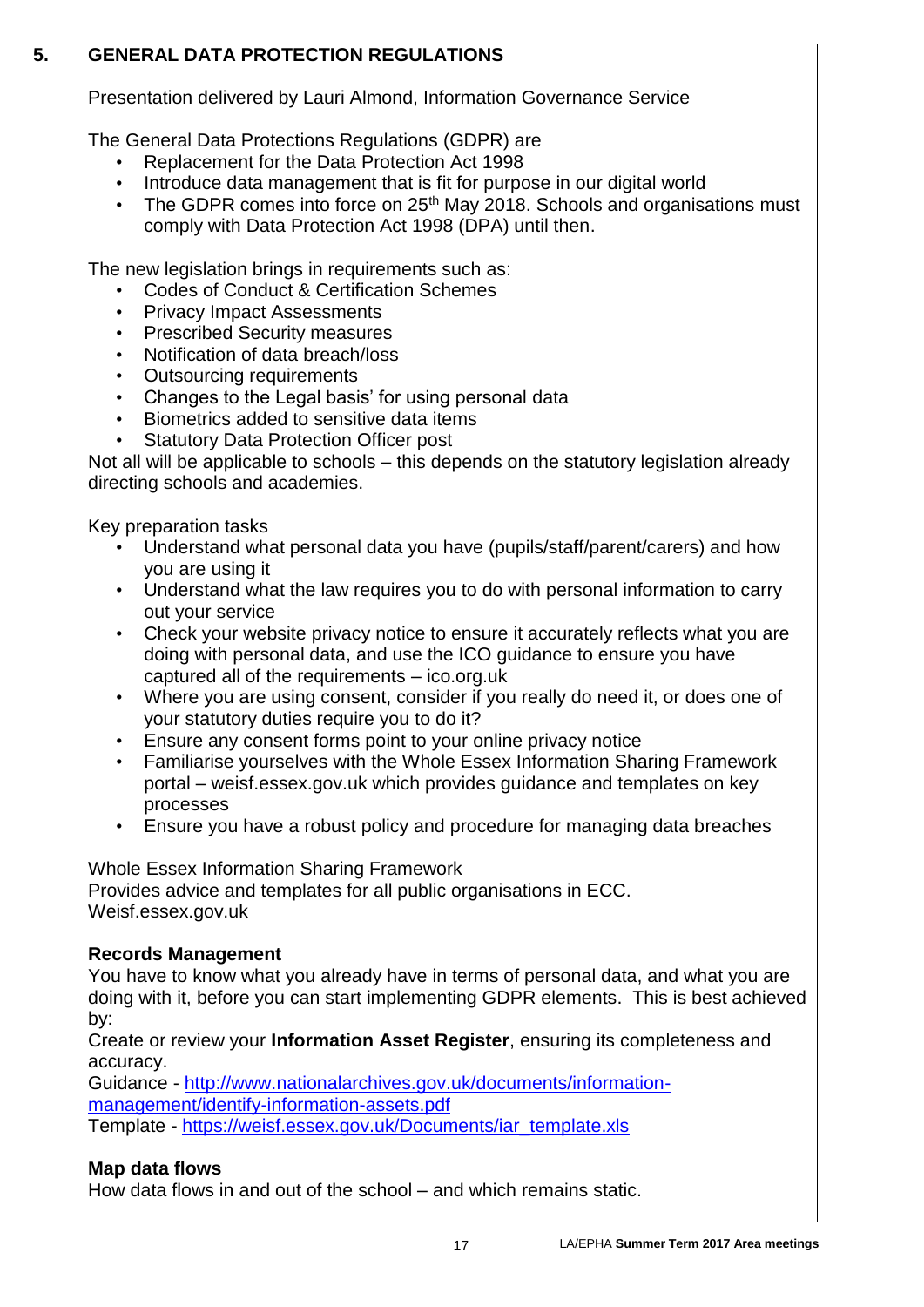## **5. GENERAL DATA PROTECTION REGULATIONS**

Presentation delivered by Lauri Almond, Information Governance Service

The General Data Protections Regulations (GDPR) are

- Replacement for the Data Protection Act 1998
- Introduce data management that is fit for purpose in our digital world
- The GDPR comes into force on  $25<sup>th</sup>$  May 2018. Schools and organisations must comply with Data Protection Act 1998 (DPA) until then.

The new legislation brings in requirements such as:

- Codes of Conduct & Certification Schemes
- Privacy Impact Assessments
- Prescribed Security measures
- Notification of data breach/loss
- Outsourcing requirements
- Changes to the Legal basis' for using personal data
- Biometrics added to sensitive data items
- Statutory Data Protection Officer post

Not all will be applicable to schools – this depends on the statutory legislation already directing schools and academies.

Key preparation tasks

- Understand what personal data you have (pupils/staff/parent/carers) and how you are using it
- Understand what the law requires you to do with personal information to carry out your service
- Check your website privacy notice to ensure it accurately reflects what you are doing with personal data, and use the ICO guidance to ensure you have captured all of the requirements – ico.org.uk
- Where you are using consent, consider if you really do need it, or does one of your statutory duties require you to do it?
- Ensure any consent forms point to your online privacy notice
- Familiarise yourselves with the Whole Essex Information Sharing Framework portal – weisf.essex.gov.uk which provides guidance and templates on key processes
- Ensure you have a robust policy and procedure for managing data breaches

Whole Essex Information Sharing Framework Provides advice and templates for all public organisations in ECC. Weisf.essex.gov.uk

## **Records Management**

You have to know what you already have in terms of personal data, and what you are doing with it, before you can start implementing GDPR elements. This is best achieved by:

Create or review your **Information Asset Register**, ensuring its completeness and accuracy.

Guidance - [http://www.nationalarchives.gov.uk/documents/information](http://www.nationalarchives.gov.uk/documents/information-management/identify-information-assets.pdf)[management/identify-information-assets.pdf](http://www.nationalarchives.gov.uk/documents/information-management/identify-information-assets.pdf) Template - [https://weisf.essex.gov.uk/Documents/iar\\_template.xls](https://weisf.essex.gov.uk/Documents/iar_template.xls)

# **Map data flows**

How data flows in and out of the school – and which remains static.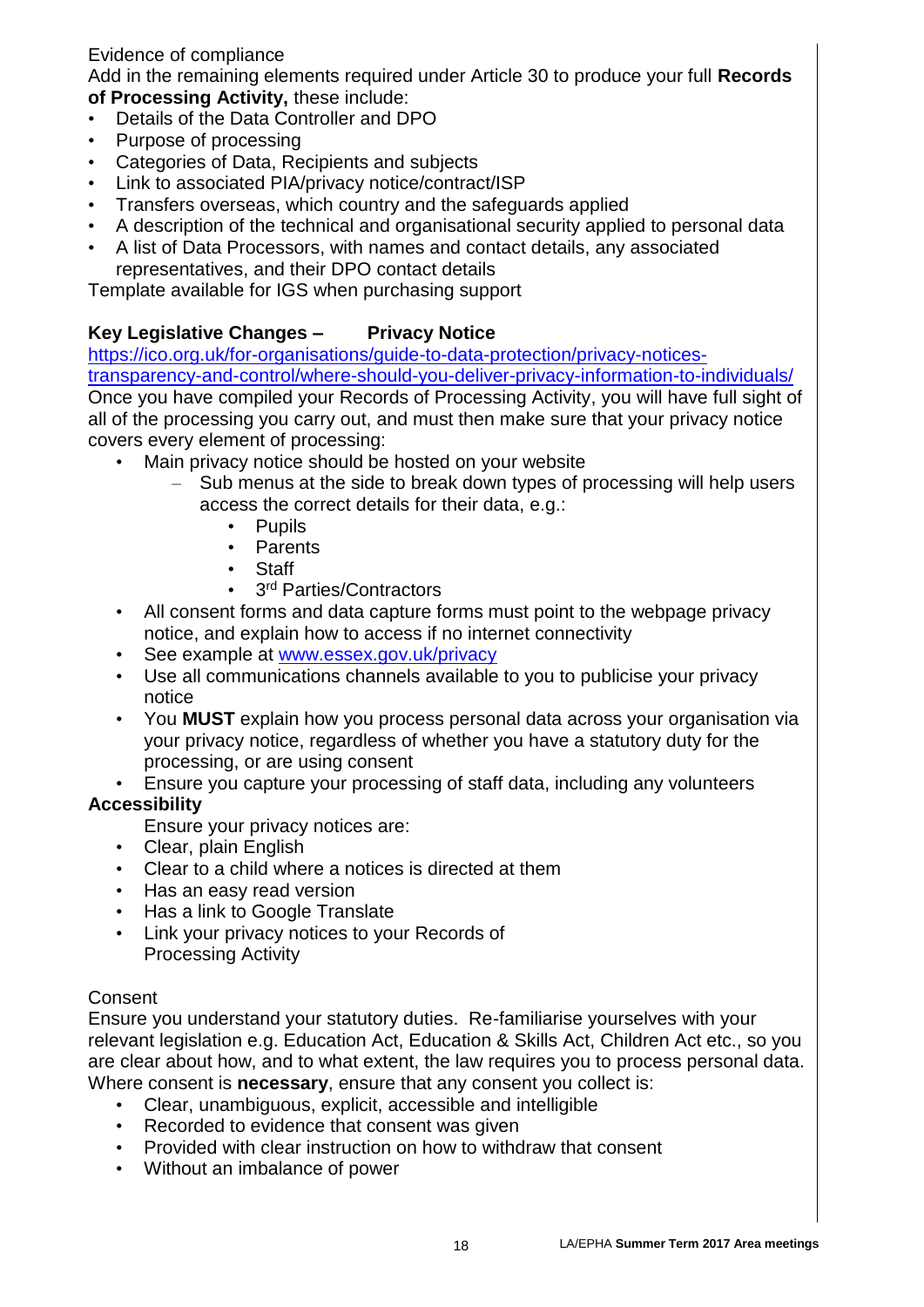## Evidence of compliance

Add in the remaining elements required under Article 30 to produce your full **Records of Processing Activity,** these include:

- Details of the Data Controller and DPO
- Purpose of processing
- Categories of Data, Recipients and subjects
- Link to associated PIA/privacy notice/contract/ISP
- Transfers overseas, which country and the safeguards applied
- A description of the technical and organisational security applied to personal data
- A list of Data Processors, with names and contact details, any associated representatives, and their DPO contact details

Template available for IGS when purchasing support

## **Key Legislative Changes – Privacy Notice**

[https://ico.org.uk/for-organisations/guide-to-data-protection/privacy-notices](https://ico.org.uk/for-organisations/guide-to-data-protection/privacy-notices-transparency-and-control/where-should-you-deliver-privacy-information-to-individuals/)[transparency-and-control/where-should-you-deliver-privacy-information-to-individuals/](https://ico.org.uk/for-organisations/guide-to-data-protection/privacy-notices-transparency-and-control/where-should-you-deliver-privacy-information-to-individuals/) Once you have compiled your Records of Processing Activity, you will have full sight of all of the processing you carry out, and must then make sure that your privacy notice covers every element of processing:

- Main privacy notice should be hosted on your website
	- Sub menus at the side to break down types of processing will help users access the correct details for their data, e.g.:
		- Pupils
		- Parents
		- Staff
		- 3<sup>rd</sup> Parties/Contractors
- All consent forms and data capture forms must point to the webpage privacy notice, and explain how to access if no internet connectivity
- See example at [www.essex.gov.uk/privacy](http://www.essex.gov.uk/privacy)
- Use all communications channels available to you to publicise your privacy notice
- You **MUST** explain how you process personal data across your organisation via your privacy notice, regardless of whether you have a statutory duty for the processing, or are using consent
- Ensure you capture your processing of staff data, including any volunteers

## **Accessibility**

Ensure your privacy notices are:

- Clear, plain English
- Clear to a child where a notices is directed at them
- Has an easy read version
- Has a link to Google Translate
- Link your privacy notices to your Records of Processing Activity

## Consent

Ensure you understand your statutory duties. Re-familiarise yourselves with your relevant legislation e.g. Education Act, Education & Skills Act, Children Act etc., so you are clear about how, and to what extent, the law requires you to process personal data. Where consent is **necessary**, ensure that any consent you collect is:

- Clear, unambiguous, explicit, accessible and intelligible
- Recorded to evidence that consent was given
- Provided with clear instruction on how to withdraw that consent
- Without an imbalance of power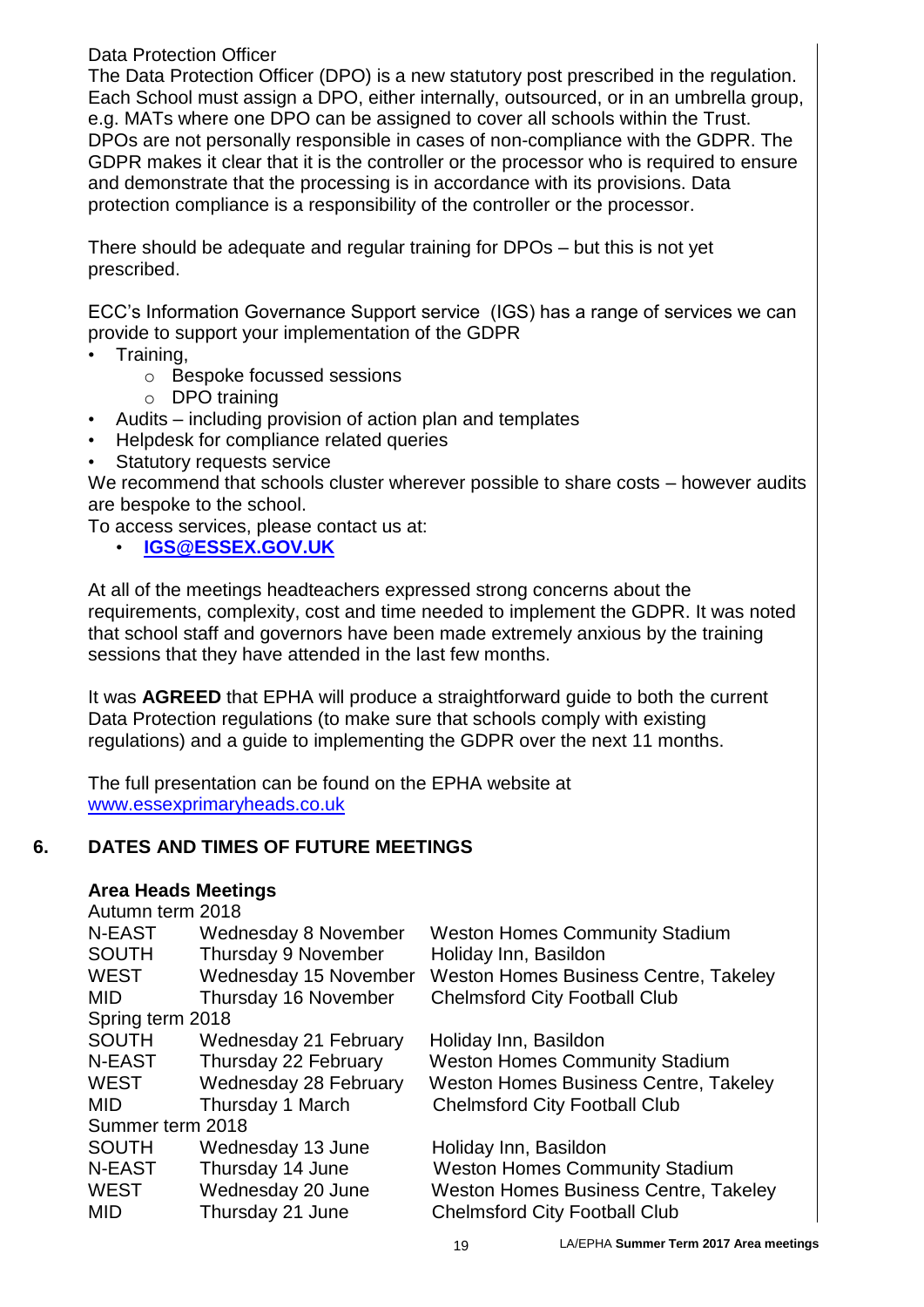### Data Protection Officer

The Data Protection Officer (DPO) is a new statutory post prescribed in the regulation. Each School must assign a DPO, either internally, outsourced, or in an umbrella group, e.g. MATs where one DPO can be assigned to cover all schools within the Trust. DPOs are not personally responsible in cases of non-compliance with the GDPR. The GDPR makes it clear that it is the controller or the processor who is required to ensure and demonstrate that the processing is in accordance with its provisions. Data protection compliance is a responsibility of the controller or the processor.

There should be adequate and regular training for DPOs – but this is not yet prescribed.

ECC's Information Governance Support service (IGS) has a range of services we can provide to support your implementation of the GDPR

- Training,
	- o Bespoke focussed sessions
	- o DPO training
- Audits including provision of action plan and templates
- Helpdesk for compliance related queries
- Statutory requests service

We recommend that schools cluster wherever possible to share costs – however audits are bespoke to the school.

To access services, please contact us at:

• **[IGS@ESSEX.GOV.UK](mailto:INFORMATIONGOVERNANCESUPPORT@ESSEX.GOV.UK)**

At all of the meetings headteachers expressed strong concerns about the requirements, complexity, cost and time needed to implement the GDPR. It was noted that school staff and governors have been made extremely anxious by the training sessions that they have attended in the last few months.

It was **AGREED** that EPHA will produce a straightforward guide to both the current Data Protection regulations (to make sure that schools comply with existing regulations) and a guide to implementing the GDPR over the next 11 months.

The full presentation can be found on the EPHA website at [www.essexprimaryheads.co.uk](http://www.essexprimaryheads.co.uk/)

## **6. DATES AND TIMES OF FUTURE MEETINGS**

### **Area Heads Meetings**

| Autumn term 2018 |                       |                                              |  |  |  |  |  |
|------------------|-----------------------|----------------------------------------------|--|--|--|--|--|
| <b>N-EAST</b>    | Wednesday 8 November  | <b>Weston Homes Community Stadium</b>        |  |  |  |  |  |
| <b>SOUTH</b>     | Thursday 9 November   | Holiday Inn, Basildon                        |  |  |  |  |  |
| <b>WEST</b>      | Wednesday 15 November | <b>Weston Homes Business Centre, Takeley</b> |  |  |  |  |  |
| <b>MID</b>       | Thursday 16 November  | <b>Chelmsford City Football Club</b>         |  |  |  |  |  |
| Spring term 2018 |                       |                                              |  |  |  |  |  |
| <b>SOUTH</b>     | Wednesday 21 February | Holiday Inn, Basildon                        |  |  |  |  |  |
| N-EAST           | Thursday 22 February  | <b>Weston Homes Community Stadium</b>        |  |  |  |  |  |
| <b>WEST</b>      | Wednesday 28 February | <b>Weston Homes Business Centre, Takeley</b> |  |  |  |  |  |
| <b>MID</b>       | Thursday 1 March      | <b>Chelmsford City Football Club</b>         |  |  |  |  |  |
| Summer term 2018 |                       |                                              |  |  |  |  |  |
| <b>SOUTH</b>     | Wednesday 13 June     | Holiday Inn, Basildon                        |  |  |  |  |  |
| <b>N-EAST</b>    | Thursday 14 June      | <b>Weston Homes Community Stadium</b>        |  |  |  |  |  |
| <b>WEST</b>      | Wednesday 20 June     | Weston Homes Business Centre, Takeley        |  |  |  |  |  |
| <b>MID</b>       | Thursday 21 June      | <b>Chelmsford City Football Club</b>         |  |  |  |  |  |
|                  |                       |                                              |  |  |  |  |  |